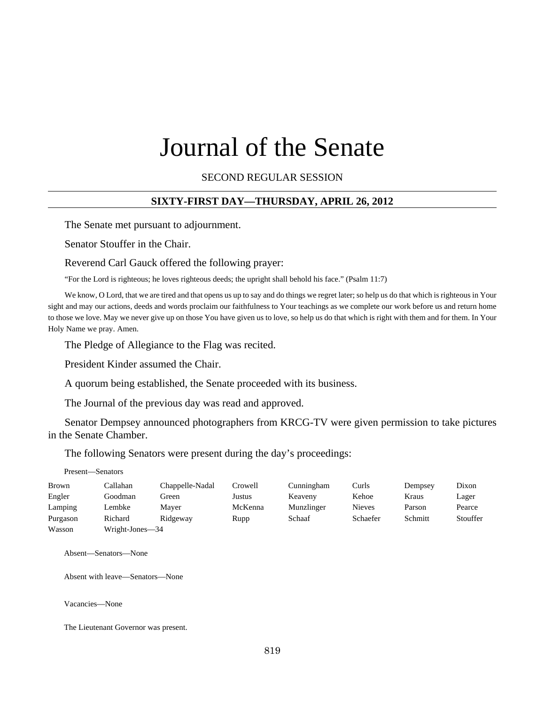# Journal of the Senate

#### SECOND REGULAR SESSION

#### **SIXTY-FIRST DAY—THURSDAY, APRIL 26, 2012**

The Senate met pursuant to adjournment.

Senator Stouffer in the Chair.

#### Reverend Carl Gauck offered the following prayer:

"For the Lord is righteous; he loves righteous deeds; the upright shall behold his face." (Psalm 11:7)

We know, O Lord, that we are tired and that opens us up to say and do things we regret later; so help us do that which is righteous in Your sight and may our actions, deeds and words proclaim our faithfulness to Your teachings as we complete our work before us and return home to those we love. May we never give up on those You have given us to love, so help us do that which is right with them and for them. In Your Holy Name we pray. Amen.

The Pledge of Allegiance to the Flag was recited.

President Kinder assumed the Chair.

A quorum being established, the Senate proceeded with its business.

The Journal of the previous day was read and approved.

Senator Dempsey announced photographers from KRCG-TV were given permission to take pictures in the Senate Chamber.

The following Senators were present during the day's proceedings:

| Present-<br>—Senators |  |
|-----------------------|--|
|-----------------------|--|

| Brown    | Callahan        | Chappelle-Nadal | Crowell | Cunningham | Curls         | Dempsey | Dixon    |
|----------|-----------------|-----------------|---------|------------|---------------|---------|----------|
| Engler   | Goodman         | Green           | Justus  | Keaveny    | Kehoe         | Kraus   | Lager    |
| Lamping  | Lembke          | Maver           | McKenna | Munzlinger | <b>Nieves</b> | Parson  | Pearce   |
| Purgason | Richard         | Ridgeway        | Rupp    | Schaaf     | Schaefer      | Schmitt | Stouffer |
| Wasson   | Wright-Jones-34 |                 |         |            |               |         |          |

Absent—Senators—None

Absent with leave—Senators—None

Vacancies—None

The Lieutenant Governor was present.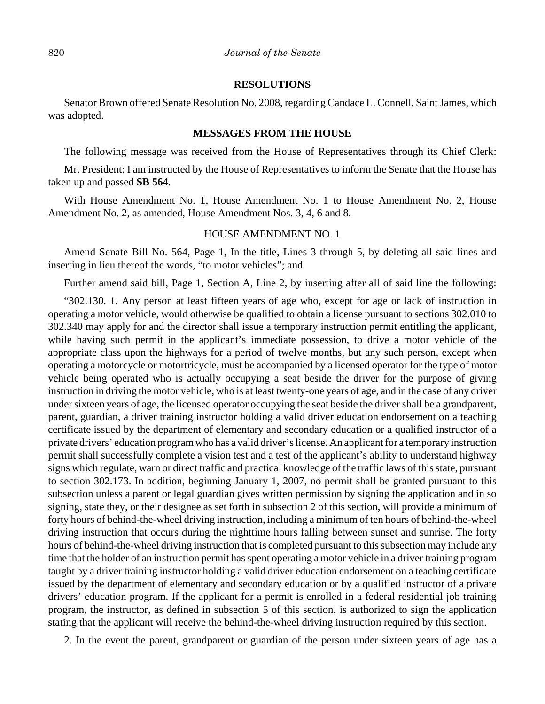#### **RESOLUTIONS**

Senator Brown offered Senate Resolution No. 2008, regarding Candace L. Connell, Saint James, which was adopted.

#### **MESSAGES FROM THE HOUSE**

The following message was received from the House of Representatives through its Chief Clerk:

Mr. President: I am instructed by the House of Representatives to inform the Senate that the House has taken up and passed **SB 564**.

With House Amendment No. 1, House Amendment No. 1 to House Amendment No. 2, House Amendment No. 2, as amended, House Amendment Nos. 3, 4, 6 and 8.

#### HOUSE AMENDMENT NO. 1

Amend Senate Bill No. 564, Page 1, In the title, Lines 3 through 5, by deleting all said lines and inserting in lieu thereof the words, "to motor vehicles"; and

Further amend said bill, Page 1, Section A, Line 2, by inserting after all of said line the following:

"302.130. 1. Any person at least fifteen years of age who, except for age or lack of instruction in operating a motor vehicle, would otherwise be qualified to obtain a license pursuant to sections 302.010 to 302.340 may apply for and the director shall issue a temporary instruction permit entitling the applicant, while having such permit in the applicant's immediate possession, to drive a motor vehicle of the appropriate class upon the highways for a period of twelve months, but any such person, except when operating a motorcycle or motortricycle, must be accompanied by a licensed operator for the type of motor vehicle being operated who is actually occupying a seat beside the driver for the purpose of giving instruction in driving the motor vehicle, who is at least twenty-one years of age, and in the case of any driver under sixteen years of age, the licensed operator occupying the seat beside the driver shall be a grandparent, parent, guardian, a driver training instructor holding a valid driver education endorsement on a teaching certificate issued by the department of elementary and secondary education or a qualified instructor of a private drivers' education program who has a valid driver's license. An applicant for a temporary instruction permit shall successfully complete a vision test and a test of the applicant's ability to understand highway signs which regulate, warn or direct traffic and practical knowledge of the traffic laws of this state, pursuant to section 302.173. In addition, beginning January 1, 2007, no permit shall be granted pursuant to this subsection unless a parent or legal guardian gives written permission by signing the application and in so signing, state they, or their designee as set forth in subsection 2 of this section, will provide a minimum of forty hours of behind-the-wheel driving instruction, including a minimum of ten hours of behind-the-wheel driving instruction that occurs during the nighttime hours falling between sunset and sunrise. The forty hours of behind-the-wheel driving instruction that is completed pursuant to this subsection may include any time that the holder of an instruction permit has spent operating a motor vehicle in a driver training program taught by a driver training instructor holding a valid driver education endorsement on a teaching certificate issued by the department of elementary and secondary education or by a qualified instructor of a private drivers' education program. If the applicant for a permit is enrolled in a federal residential job training program, the instructor, as defined in subsection 5 of this section, is authorized to sign the application stating that the applicant will receive the behind-the-wheel driving instruction required by this section.

2. In the event the parent, grandparent or guardian of the person under sixteen years of age has a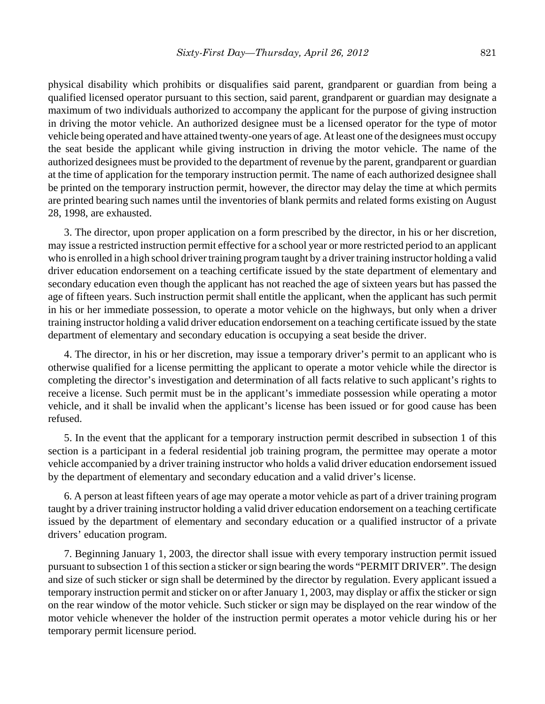physical disability which prohibits or disqualifies said parent, grandparent or guardian from being a qualified licensed operator pursuant to this section, said parent, grandparent or guardian may designate a maximum of two individuals authorized to accompany the applicant for the purpose of giving instruction in driving the motor vehicle. An authorized designee must be a licensed operator for the type of motor vehicle being operated and have attained twenty-one years of age. At least one of the designees must occupy the seat beside the applicant while giving instruction in driving the motor vehicle. The name of the authorized designees must be provided to the department of revenue by the parent, grandparent or guardian at the time of application for the temporary instruction permit. The name of each authorized designee shall be printed on the temporary instruction permit, however, the director may delay the time at which permits are printed bearing such names until the inventories of blank permits and related forms existing on August 28, 1998, are exhausted.

3. The director, upon proper application on a form prescribed by the director, in his or her discretion, may issue a restricted instruction permit effective for a school year or more restricted period to an applicant who is enrolled in a high school driver training program taught by a driver training instructor holding a valid driver education endorsement on a teaching certificate issued by the state department of elementary and secondary education even though the applicant has not reached the age of sixteen years but has passed the age of fifteen years. Such instruction permit shall entitle the applicant, when the applicant has such permit in his or her immediate possession, to operate a motor vehicle on the highways, but only when a driver training instructor holding a valid driver education endorsement on a teaching certificate issued by the state department of elementary and secondary education is occupying a seat beside the driver.

4. The director, in his or her discretion, may issue a temporary driver's permit to an applicant who is otherwise qualified for a license permitting the applicant to operate a motor vehicle while the director is completing the director's investigation and determination of all facts relative to such applicant's rights to receive a license. Such permit must be in the applicant's immediate possession while operating a motor vehicle, and it shall be invalid when the applicant's license has been issued or for good cause has been refused.

5. In the event that the applicant for a temporary instruction permit described in subsection 1 of this section is a participant in a federal residential job training program, the permittee may operate a motor vehicle accompanied by a driver training instructor who holds a valid driver education endorsement issued by the department of elementary and secondary education and a valid driver's license.

6. A person at least fifteen years of age may operate a motor vehicle as part of a driver training program taught by a driver training instructor holding a valid driver education endorsement on a teaching certificate issued by the department of elementary and secondary education or a qualified instructor of a private drivers' education program.

7. Beginning January 1, 2003, the director shall issue with every temporary instruction permit issued pursuant to subsection 1 of this section a sticker or sign bearing the words "PERMIT DRIVER". The design and size of such sticker or sign shall be determined by the director by regulation. Every applicant issued a temporary instruction permit and sticker on or after January 1, 2003, may display or affix the sticker or sign on the rear window of the motor vehicle. Such sticker or sign may be displayed on the rear window of the motor vehicle whenever the holder of the instruction permit operates a motor vehicle during his or her temporary permit licensure period.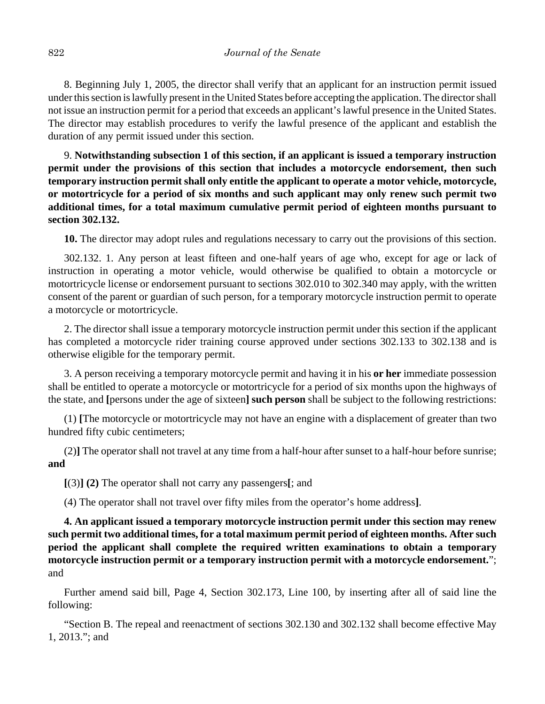8. Beginning July 1, 2005, the director shall verify that an applicant for an instruction permit issued under this section is lawfully present in the United States before accepting the application. The director shall not issue an instruction permit for a period that exceeds an applicant's lawful presence in the United States. The director may establish procedures to verify the lawful presence of the applicant and establish the duration of any permit issued under this section.

9. **Notwithstanding subsection 1 of this section, if an applicant is issued a temporary instruction permit under the provisions of this section that includes a motorcycle endorsement, then such temporary instruction permit shall only entitle the applicant to operate a motor vehicle, motorcycle, or motortricycle for a period of six months and such applicant may only renew such permit two additional times, for a total maximum cumulative permit period of eighteen months pursuant to section 302.132.**

**10.** The director may adopt rules and regulations necessary to carry out the provisions of this section.

302.132. 1. Any person at least fifteen and one-half years of age who, except for age or lack of instruction in operating a motor vehicle, would otherwise be qualified to obtain a motorcycle or motortricycle license or endorsement pursuant to sections 302.010 to 302.340 may apply, with the written consent of the parent or guardian of such person, for a temporary motorcycle instruction permit to operate a motorcycle or motortricycle.

2. The director shall issue a temporary motorcycle instruction permit under this section if the applicant has completed a motorcycle rider training course approved under sections 302.133 to 302.138 and is otherwise eligible for the temporary permit.

3. A person receiving a temporary motorcycle permit and having it in his **or her** immediate possession shall be entitled to operate a motorcycle or motortricycle for a period of six months upon the highways of the state, and **[**persons under the age of sixteen**] such person** shall be subject to the following restrictions:

(1) **[**The motorcycle or motortricycle may not have an engine with a displacement of greater than two hundred fifty cubic centimeters;

(2)**]** The operator shall not travel at any time from a half-hour after sunset to a half-hour before sunrise; **and**

**[**(3)**] (2)** The operator shall not carry any passengers**[**; and

(4) The operator shall not travel over fifty miles from the operator's home address**]**.

**4. An applicant issued a temporary motorcycle instruction permit under this section may renew such permit two additional times, for a total maximum permit period of eighteen months. After such period the applicant shall complete the required written examinations to obtain a temporary motorcycle instruction permit or a temporary instruction permit with a motorcycle endorsement.**"; and

Further amend said bill, Page 4, Section 302.173, Line 100, by inserting after all of said line the following:

"Section B. The repeal and reenactment of sections 302.130 and 302.132 shall become effective May 1, 2013."; and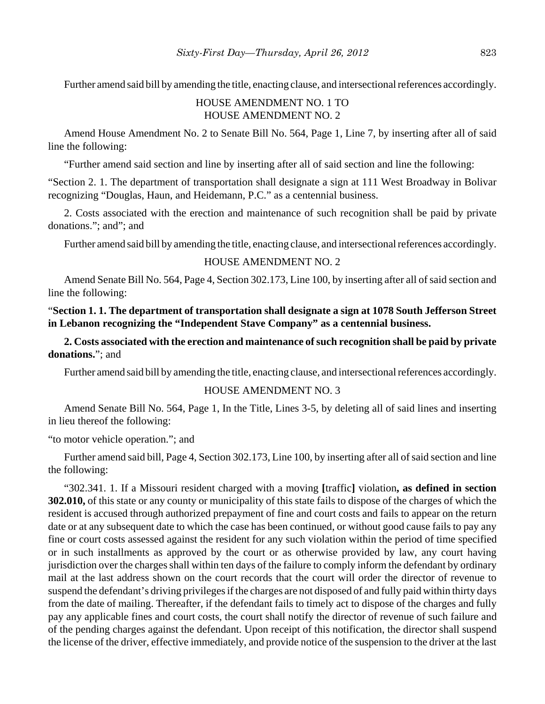Further amend said bill by amending the title, enacting clause, and intersectional references accordingly.

## HOUSE AMENDMENT NO. 1 TO HOUSE AMENDMENT NO. 2

Amend House Amendment No. 2 to Senate Bill No. 564, Page 1, Line 7, by inserting after all of said line the following:

"Further amend said section and line by inserting after all of said section and line the following:

"Section 2. 1. The department of transportation shall designate a sign at 111 West Broadway in Bolivar recognizing "Douglas, Haun, and Heidemann, P.C." as a centennial business.

2. Costs associated with the erection and maintenance of such recognition shall be paid by private donations."; and"; and

Further amend said bill by amending the title, enacting clause, and intersectional references accordingly.

#### HOUSE AMENDMENT NO. 2

Amend Senate Bill No. 564, Page 4, Section 302.173, Line 100, by inserting after all of said section and line the following:

## "**Section 1. 1. The department of transportation shall designate a sign at 1078 South Jefferson Street in Lebanon recognizing the "Independent Stave Company" as a centennial business.**

**2. Costs associated with the erection and maintenance of such recognition shall be paid by private donations.**"; and

Further amend said bill by amending the title, enacting clause, and intersectional references accordingly.

#### HOUSE AMENDMENT NO. 3

Amend Senate Bill No. 564, Page 1, In the Title, Lines 3-5, by deleting all of said lines and inserting in lieu thereof the following:

"to motor vehicle operation."; and

Further amend said bill, Page 4, Section 302.173, Line 100, by inserting after all of said section and line the following:

"302.341. 1. If a Missouri resident charged with a moving **[**traffic**]** violation**, as defined in section 302.010,** of this state or any county or municipality of this state fails to dispose of the charges of which the resident is accused through authorized prepayment of fine and court costs and fails to appear on the return date or at any subsequent date to which the case has been continued, or without good cause fails to pay any fine or court costs assessed against the resident for any such violation within the period of time specified or in such installments as approved by the court or as otherwise provided by law, any court having jurisdiction over the charges shall within ten days of the failure to comply inform the defendant by ordinary mail at the last address shown on the court records that the court will order the director of revenue to suspend the defendant's driving privileges if the charges are not disposed of and fully paid within thirty days from the date of mailing. Thereafter, if the defendant fails to timely act to dispose of the charges and fully pay any applicable fines and court costs, the court shall notify the director of revenue of such failure and of the pending charges against the defendant. Upon receipt of this notification, the director shall suspend the license of the driver, effective immediately, and provide notice of the suspension to the driver at the last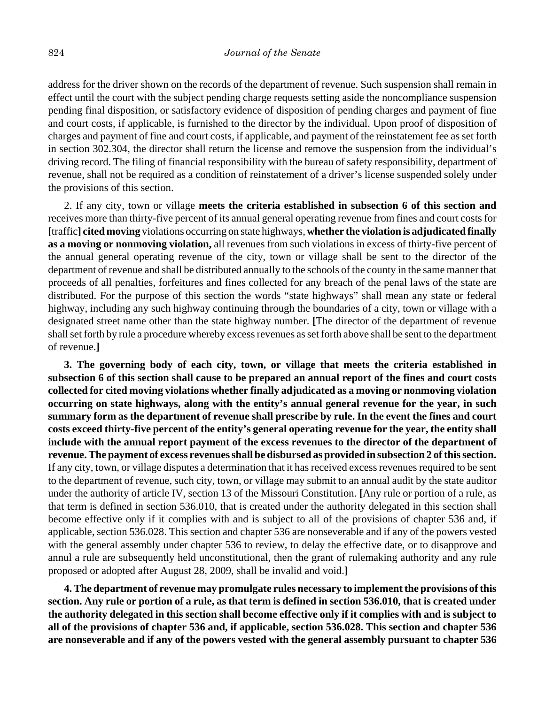address for the driver shown on the records of the department of revenue. Such suspension shall remain in effect until the court with the subject pending charge requests setting aside the noncompliance suspension pending final disposition, or satisfactory evidence of disposition of pending charges and payment of fine and court costs, if applicable, is furnished to the director by the individual. Upon proof of disposition of charges and payment of fine and court costs, if applicable, and payment of the reinstatement fee as set forth in section 302.304, the director shall return the license and remove the suspension from the individual's driving record. The filing of financial responsibility with the bureau of safety responsibility, department of revenue, shall not be required as a condition of reinstatement of a driver's license suspended solely under the provisions of this section.

2. If any city, town or village **meets the criteria established in subsection 6 of this section and** receives more than thirty-five percent of its annual general operating revenue from fines and court costs for **[**traffic**] cited moving** violations occurring on state highways, **whether the violation is adjudicated finally as a moving or nonmoving violation,** all revenues from such violations in excess of thirty-five percent of the annual general operating revenue of the city, town or village shall be sent to the director of the department of revenue and shall be distributed annually to the schools of the county in the same manner that proceeds of all penalties, forfeitures and fines collected for any breach of the penal laws of the state are distributed. For the purpose of this section the words "state highways" shall mean any state or federal highway, including any such highway continuing through the boundaries of a city, town or village with a designated street name other than the state highway number. **[**The director of the department of revenue shall set forth by rule a procedure whereby excess revenues as set forth above shall be sent to the department of revenue.**]**

**3. The governing body of each city, town, or village that meets the criteria established in subsection 6 of this section shall cause to be prepared an annual report of the fines and court costs collected for cited moving violations whether finally adjudicated as a moving or nonmoving violation occurring on state highways, along with the entity's annual general revenue for the year, in such summary form as the department of revenue shall prescribe by rule. In the event the fines and court costs exceed thirty-five percent of the entity's general operating revenue for the year, the entity shall include with the annual report payment of the excess revenues to the director of the department of revenue. The payment of excess revenues shall be disbursed as provided in subsection 2 of this section.** If any city, town, or village disputes a determination that it has received excess revenues required to be sent to the department of revenue, such city, town, or village may submit to an annual audit by the state auditor under the authority of article IV, section 13 of the Missouri Constitution. **[**Any rule or portion of a rule, as that term is defined in section 536.010, that is created under the authority delegated in this section shall become effective only if it complies with and is subject to all of the provisions of chapter 536 and, if applicable, section 536.028. This section and chapter 536 are nonseverable and if any of the powers vested with the general assembly under chapter 536 to review, to delay the effective date, or to disapprove and annul a rule are subsequently held unconstitutional, then the grant of rulemaking authority and any rule proposed or adopted after August 28, 2009, shall be invalid and void.**]**

**4. The department of revenue may promulgate rules necessary to implement the provisions of this section. Any rule or portion of a rule, as that term is defined in section 536.010, that is created under the authority delegated in this section shall become effective only if it complies with and is subject to all of the provisions of chapter 536 and, if applicable, section 536.028. This section and chapter 536 are nonseverable and if any of the powers vested with the general assembly pursuant to chapter 536**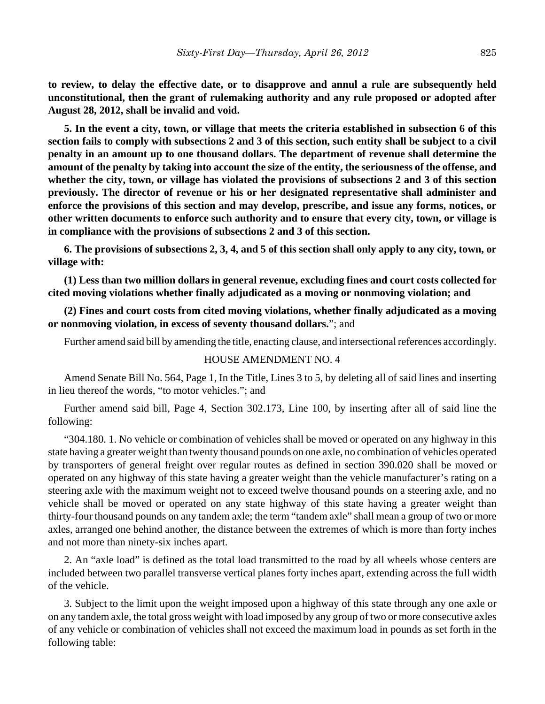**to review, to delay the effective date, or to disapprove and annul a rule are subsequently held unconstitutional, then the grant of rulemaking authority and any rule proposed or adopted after August 28, 2012, shall be invalid and void.**

**5. In the event a city, town, or village that meets the criteria established in subsection 6 of this section fails to comply with subsections 2 and 3 of this section, such entity shall be subject to a civil penalty in an amount up to one thousand dollars. The department of revenue shall determine the amount of the penalty by taking into account the size of the entity, the seriousness of the offense, and whether the city, town, or village has violated the provisions of subsections 2 and 3 of this section previously. The director of revenue or his or her designated representative shall administer and enforce the provisions of this section and may develop, prescribe, and issue any forms, notices, or other written documents to enforce such authority and to ensure that every city, town, or village is in compliance with the provisions of subsections 2 and 3 of this section.**

**6. The provisions of subsections 2, 3, 4, and 5 of this section shall only apply to any city, town, or village with:**

**(1) Less than two million dollars in general revenue, excluding fines and court costs collected for cited moving violations whether finally adjudicated as a moving or nonmoving violation; and**

**(2) Fines and court costs from cited moving violations, whether finally adjudicated as a moving or nonmoving violation, in excess of seventy thousand dollars.**"; and

Further amend said bill by amending the title, enacting clause, and intersectional references accordingly.

#### HOUSE AMENDMENT NO. 4

Amend Senate Bill No. 564, Page 1, In the Title, Lines 3 to 5, by deleting all of said lines and inserting in lieu thereof the words, "to motor vehicles."; and

Further amend said bill, Page 4, Section 302.173, Line 100, by inserting after all of said line the following:

"304.180. 1. No vehicle or combination of vehicles shall be moved or operated on any highway in this state having a greater weight than twenty thousand pounds on one axle, no combination of vehicles operated by transporters of general freight over regular routes as defined in section 390.020 shall be moved or operated on any highway of this state having a greater weight than the vehicle manufacturer's rating on a steering axle with the maximum weight not to exceed twelve thousand pounds on a steering axle, and no vehicle shall be moved or operated on any state highway of this state having a greater weight than thirty-four thousand pounds on any tandem axle; the term "tandem axle" shall mean a group of two or more axles, arranged one behind another, the distance between the extremes of which is more than forty inches and not more than ninety-six inches apart.

2. An "axle load" is defined as the total load transmitted to the road by all wheels whose centers are included between two parallel transverse vertical planes forty inches apart, extending across the full width of the vehicle.

3. Subject to the limit upon the weight imposed upon a highway of this state through any one axle or on any tandem axle, the total gross weight with load imposed by any group of two or more consecutive axles of any vehicle or combination of vehicles shall not exceed the maximum load in pounds as set forth in the following table: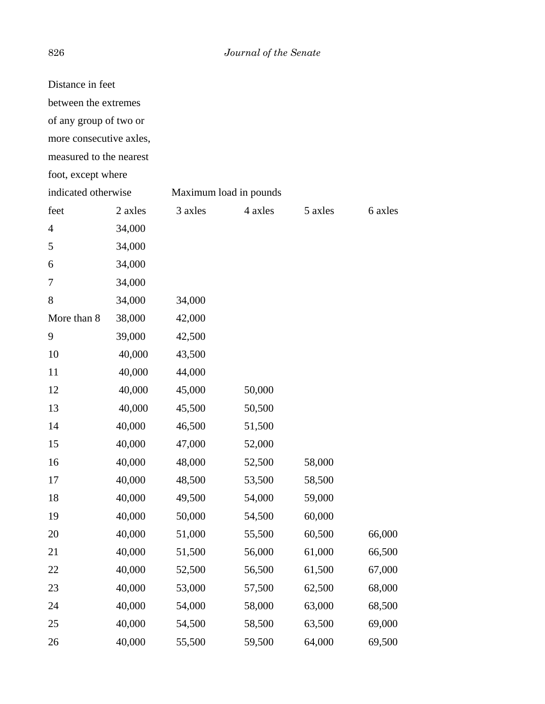## 826 *Journal of the Senate*

| Distance in feet        |         |         |                        |         |         |
|-------------------------|---------|---------|------------------------|---------|---------|
| between the extremes    |         |         |                        |         |         |
| of any group of two or  |         |         |                        |         |         |
| more consecutive axles, |         |         |                        |         |         |
| measured to the nearest |         |         |                        |         |         |
| foot, except where      |         |         |                        |         |         |
| indicated otherwise     |         |         | Maximum load in pounds |         |         |
| feet                    | 2 axles | 3 axles | 4 axles                | 5 axles | 6 axles |
| 4                       | 34,000  |         |                        |         |         |
| 5                       | 34,000  |         |                        |         |         |
| 6                       | 34,000  |         |                        |         |         |
| 7                       | 34,000  |         |                        |         |         |
| 8                       | 34,000  | 34,000  |                        |         |         |
| More than 8             | 38,000  | 42,000  |                        |         |         |
| 9                       | 39,000  | 42,500  |                        |         |         |
| 10                      | 40,000  | 43,500  |                        |         |         |
| 11                      | 40,000  | 44,000  |                        |         |         |
| 12                      | 40,000  | 45,000  | 50,000                 |         |         |
| 13                      | 40,000  | 45,500  | 50,500                 |         |         |
| 14                      | 40,000  | 46,500  | 51,500                 |         |         |
| 15                      | 40,000  | 47,000  | 52,000                 |         |         |
| 16                      | 40,000  | 48,000  | 52,500                 | 58,000  |         |
| 17                      | 40,000  | 48,500  | 53,500                 | 58,500  |         |
| 18                      | 40,000  | 49,500  | 54,000                 | 59,000  |         |
| 19                      | 40,000  | 50,000  | 54,500                 | 60,000  |         |
| 20                      | 40,000  | 51,000  | 55,500                 | 60,500  | 66,000  |
| 21                      | 40,000  | 51,500  | 56,000                 | 61,000  | 66,500  |
| 22                      | 40,000  | 52,500  | 56,500                 | 61,500  | 67,000  |
| 23                      | 40,000  | 53,000  | 57,500                 | 62,500  | 68,000  |
| 24                      | 40,000  | 54,000  | 58,000                 | 63,000  | 68,500  |
| 25                      | 40,000  | 54,500  | 58,500                 | 63,500  | 69,000  |
| 26                      | 40,000  | 55,500  | 59,500                 | 64,000  | 69,500  |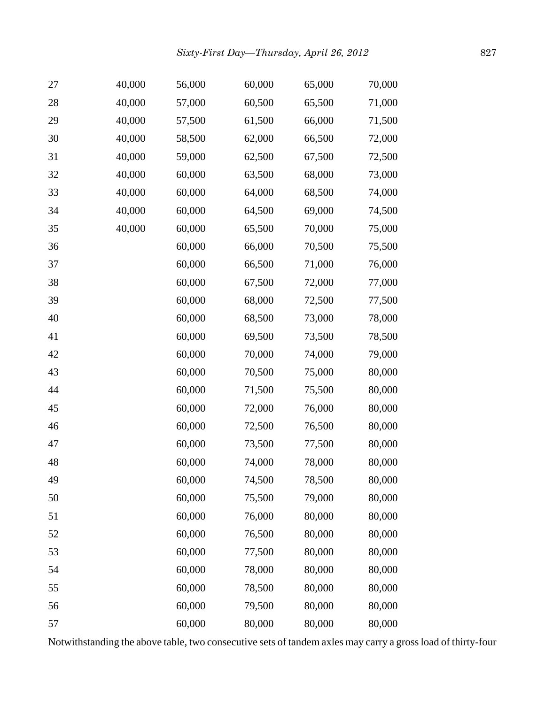| 27 | 40,000 | 56,000 | 60,000 | 65,000 | 70,000 |
|----|--------|--------|--------|--------|--------|
| 28 | 40,000 | 57,000 | 60,500 | 65,500 | 71,000 |
| 29 | 40,000 | 57,500 | 61,500 | 66,000 | 71,500 |
| 30 | 40,000 | 58,500 | 62,000 | 66,500 | 72,000 |
| 31 | 40,000 | 59,000 | 62,500 | 67,500 | 72,500 |
| 32 | 40,000 | 60,000 | 63,500 | 68,000 | 73,000 |
| 33 | 40,000 | 60,000 | 64,000 | 68,500 | 74,000 |
| 34 | 40,000 | 60,000 | 64,500 | 69,000 | 74,500 |
| 35 | 40,000 | 60,000 | 65,500 | 70,000 | 75,000 |
| 36 |        | 60,000 | 66,000 | 70,500 | 75,500 |
| 37 |        | 60,000 | 66,500 | 71,000 | 76,000 |
| 38 |        | 60,000 | 67,500 | 72,000 | 77,000 |
| 39 |        | 60,000 | 68,000 | 72,500 | 77,500 |
| 40 |        | 60,000 | 68,500 | 73,000 | 78,000 |
| 41 |        | 60,000 | 69,500 | 73,500 | 78,500 |
| 42 |        | 60,000 | 70,000 | 74,000 | 79,000 |
| 43 |        | 60,000 | 70,500 | 75,000 | 80,000 |
| 44 |        | 60,000 | 71,500 | 75,500 | 80,000 |
| 45 |        | 60,000 | 72,000 | 76,000 | 80,000 |
| 46 |        | 60,000 | 72,500 | 76,500 | 80,000 |
| 47 |        | 60,000 | 73,500 | 77,500 | 80,000 |
| 48 |        | 60,000 | 74,000 | 78,000 | 80,000 |
| 49 |        | 60,000 | 74,500 | 78,500 | 80,000 |
| 50 |        | 60,000 | 75,500 | 79,000 | 80,000 |
| 51 |        | 60,000 | 76,000 | 80,000 | 80,000 |
| 52 |        | 60,000 | 76,500 | 80,000 | 80,000 |
| 53 |        | 60,000 | 77,500 | 80,000 | 80,000 |
| 54 |        | 60,000 | 78,000 | 80,000 | 80,000 |
| 55 |        | 60,000 | 78,500 | 80,000 | 80,000 |
| 56 |        | 60,000 | 79,500 | 80,000 | 80,000 |
| 57 |        | 60,000 | 80,000 | 80,000 | 80,000 |

Notwithstanding the above table, two consecutive sets of tandem axles may carry a gross load of thirty-four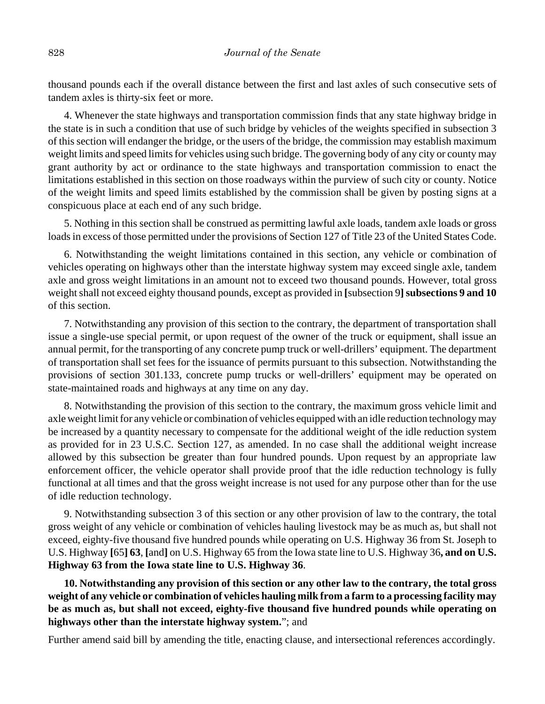thousand pounds each if the overall distance between the first and last axles of such consecutive sets of tandem axles is thirty-six feet or more.

4. Whenever the state highways and transportation commission finds that any state highway bridge in the state is in such a condition that use of such bridge by vehicles of the weights specified in subsection 3 of this section will endanger the bridge, or the users of the bridge, the commission may establish maximum weight limits and speed limits for vehicles using such bridge. The governing body of any city or county may grant authority by act or ordinance to the state highways and transportation commission to enact the limitations established in this section on those roadways within the purview of such city or county. Notice of the weight limits and speed limits established by the commission shall be given by posting signs at a conspicuous place at each end of any such bridge.

5. Nothing in this section shall be construed as permitting lawful axle loads, tandem axle loads or gross loads in excess of those permitted under the provisions of Section 127 of Title 23 of the United States Code.

6. Notwithstanding the weight limitations contained in this section, any vehicle or combination of vehicles operating on highways other than the interstate highway system may exceed single axle, tandem axle and gross weight limitations in an amount not to exceed two thousand pounds. However, total gross weight shall not exceed eighty thousand pounds, except as provided in [subsection 9] subsections 9 and 10 of this section.

7. Notwithstanding any provision of this section to the contrary, the department of transportation shall issue a single-use special permit, or upon request of the owner of the truck or equipment, shall issue an annual permit, for the transporting of any concrete pump truck or well-drillers' equipment. The department of transportation shall set fees for the issuance of permits pursuant to this subsection. Notwithstanding the provisions of section 301.133, concrete pump trucks or well-drillers' equipment may be operated on state-maintained roads and highways at any time on any day.

8. Notwithstanding the provision of this section to the contrary, the maximum gross vehicle limit and axle weight limit for any vehicle or combination of vehicles equipped with an idle reduction technology may be increased by a quantity necessary to compensate for the additional weight of the idle reduction system as provided for in 23 U.S.C. Section 127, as amended. In no case shall the additional weight increase allowed by this subsection be greater than four hundred pounds. Upon request by an appropriate law enforcement officer, the vehicle operator shall provide proof that the idle reduction technology is fully functional at all times and that the gross weight increase is not used for any purpose other than for the use of idle reduction technology.

9. Notwithstanding subsection 3 of this section or any other provision of law to the contrary, the total gross weight of any vehicle or combination of vehicles hauling livestock may be as much as, but shall not exceed, eighty-five thousand five hundred pounds while operating on U.S. Highway 36 from St. Joseph to U.S. Highway **[**65**] 63**, **[**and**]** on U.S. Highway 65 from the Iowa state line to U.S. Highway 36**, and on U.S. Highway 63 from the Iowa state line to U.S. Highway 36**.

**10. Notwithstanding any provision of this section or any other law to the contrary, the total gross weight of any vehicle or combination of vehicles hauling milk from a farm to a processing facility may be as much as, but shall not exceed, eighty-five thousand five hundred pounds while operating on highways other than the interstate highway system.**"; and

Further amend said bill by amending the title, enacting clause, and intersectional references accordingly.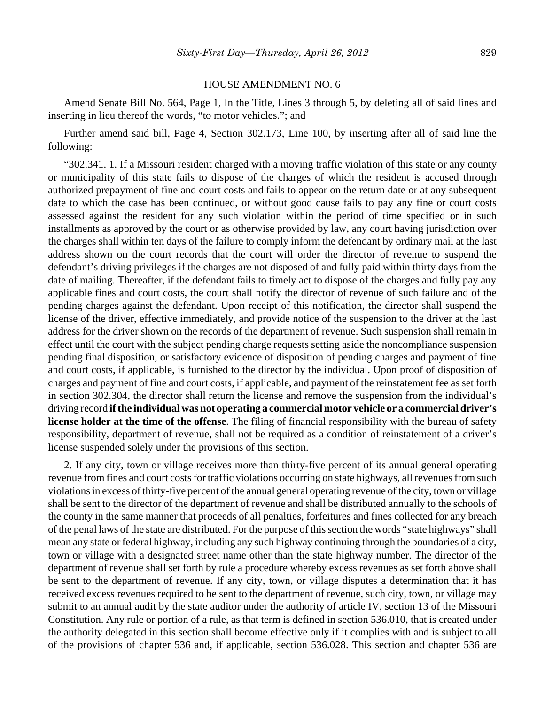#### HOUSE AMENDMENT NO. 6

Amend Senate Bill No. 564, Page 1, In the Title, Lines 3 through 5, by deleting all of said lines and inserting in lieu thereof the words, "to motor vehicles."; and

Further amend said bill, Page 4, Section 302.173, Line 100, by inserting after all of said line the following:

"302.341. 1. If a Missouri resident charged with a moving traffic violation of this state or any county or municipality of this state fails to dispose of the charges of which the resident is accused through authorized prepayment of fine and court costs and fails to appear on the return date or at any subsequent date to which the case has been continued, or without good cause fails to pay any fine or court costs assessed against the resident for any such violation within the period of time specified or in such installments as approved by the court or as otherwise provided by law, any court having jurisdiction over the charges shall within ten days of the failure to comply inform the defendant by ordinary mail at the last address shown on the court records that the court will order the director of revenue to suspend the defendant's driving privileges if the charges are not disposed of and fully paid within thirty days from the date of mailing. Thereafter, if the defendant fails to timely act to dispose of the charges and fully pay any applicable fines and court costs, the court shall notify the director of revenue of such failure and of the pending charges against the defendant. Upon receipt of this notification, the director shall suspend the license of the driver, effective immediately, and provide notice of the suspension to the driver at the last address for the driver shown on the records of the department of revenue. Such suspension shall remain in effect until the court with the subject pending charge requests setting aside the noncompliance suspension pending final disposition, or satisfactory evidence of disposition of pending charges and payment of fine and court costs, if applicable, is furnished to the director by the individual. Upon proof of disposition of charges and payment of fine and court costs, if applicable, and payment of the reinstatement fee as set forth in section 302.304, the director shall return the license and remove the suspension from the individual's driving record **if the individual was not operating a commercial motor vehicle or a commercial driver's license holder at the time of the offense**. The filing of financial responsibility with the bureau of safety responsibility, department of revenue, shall not be required as a condition of reinstatement of a driver's license suspended solely under the provisions of this section.

2. If any city, town or village receives more than thirty-five percent of its annual general operating revenue from fines and court costs for traffic violations occurring on state highways, all revenues from such violations in excess of thirty-five percent of the annual general operating revenue of the city, town or village shall be sent to the director of the department of revenue and shall be distributed annually to the schools of the county in the same manner that proceeds of all penalties, forfeitures and fines collected for any breach of the penal laws of the state are distributed. For the purpose of this section the words "state highways" shall mean any state or federal highway, including any such highway continuing through the boundaries of a city, town or village with a designated street name other than the state highway number. The director of the department of revenue shall set forth by rule a procedure whereby excess revenues as set forth above shall be sent to the department of revenue. If any city, town, or village disputes a determination that it has received excess revenues required to be sent to the department of revenue, such city, town, or village may submit to an annual audit by the state auditor under the authority of article IV, section 13 of the Missouri Constitution. Any rule or portion of a rule, as that term is defined in section 536.010, that is created under the authority delegated in this section shall become effective only if it complies with and is subject to all of the provisions of chapter 536 and, if applicable, section 536.028. This section and chapter 536 are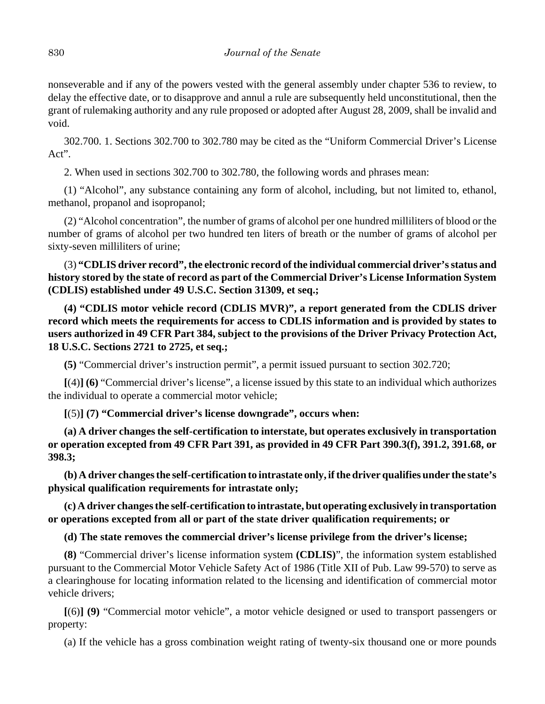nonseverable and if any of the powers vested with the general assembly under chapter 536 to review, to delay the effective date, or to disapprove and annul a rule are subsequently held unconstitutional, then the grant of rulemaking authority and any rule proposed or adopted after August 28, 2009, shall be invalid and void.

302.700. 1. Sections 302.700 to 302.780 may be cited as the "Uniform Commercial Driver's License Act".

2. When used in sections 302.700 to 302.780, the following words and phrases mean:

(1) "Alcohol", any substance containing any form of alcohol, including, but not limited to, ethanol, methanol, propanol and isopropanol;

(2) "Alcohol concentration", the number of grams of alcohol per one hundred milliliters of blood or the number of grams of alcohol per two hundred ten liters of breath or the number of grams of alcohol per sixty-seven milliliters of urine;

(3) **"CDLIS driver record", the electronic record of the individual commercial driver's status and history stored by the state of record as part of the Commercial Driver's License Information System (CDLIS) established under 49 U.S.C. Section 31309, et seq.;**

**(4) "CDLIS motor vehicle record (CDLIS MVR)", a report generated from the CDLIS driver record which meets the requirements for access to CDLIS information and is provided by states to users authorized in 49 CFR Part 384, subject to the provisions of the Driver Privacy Protection Act, 18 U.S.C. Sections 2721 to 2725, et seq.;**

**(5)** "Commercial driver's instruction permit", a permit issued pursuant to section 302.720;

**[**(4)**] (6)** "Commercial driver's license", a license issued by this state to an individual which authorizes the individual to operate a commercial motor vehicle;

**[**(5)**] (7) "Commercial driver's license downgrade", occurs when:**

**(a) A driver changes the self-certification to interstate, but operates exclusively in transportation or operation excepted from 49 CFR Part 391, as provided in 49 CFR Part 390.3(f), 391.2, 391.68, or 398.3;**

**(b) A driver changes the self-certification to intrastate only, if the driver qualifies under the state's physical qualification requirements for intrastate only;**

**(c) A driver changes the self-certification to intrastate, but operating exclusively in transportation or operations excepted from all or part of the state driver qualification requirements; or**

**(d) The state removes the commercial driver's license privilege from the driver's license;**

**(8)** "Commercial driver's license information system **(CDLIS)**", the information system established pursuant to the Commercial Motor Vehicle Safety Act of 1986 (Title XII of Pub. Law 99-570) to serve as a clearinghouse for locating information related to the licensing and identification of commercial motor vehicle drivers;

**[**(6)**] (9)** "Commercial motor vehicle", a motor vehicle designed or used to transport passengers or property:

(a) If the vehicle has a gross combination weight rating of twenty-six thousand one or more pounds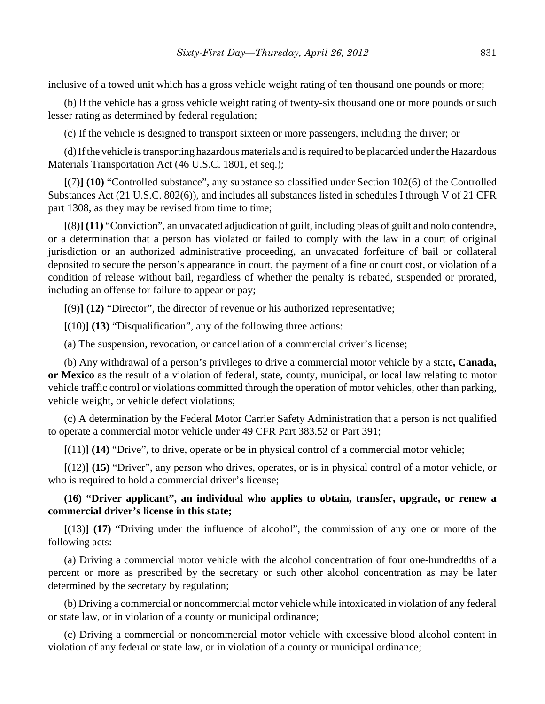inclusive of a towed unit which has a gross vehicle weight rating of ten thousand one pounds or more;

(b) If the vehicle has a gross vehicle weight rating of twenty-six thousand one or more pounds or such lesser rating as determined by federal regulation;

(c) If the vehicle is designed to transport sixteen or more passengers, including the driver; or

(d) If the vehicle is transporting hazardous materials and is required to be placarded under the Hazardous Materials Transportation Act (46 U.S.C. 1801, et seq.);

**[**(7)**] (10)** "Controlled substance", any substance so classified under Section 102(6) of the Controlled Substances Act (21 U.S.C. 802(6)), and includes all substances listed in schedules I through V of 21 CFR part 1308, as they may be revised from time to time;

**[**(8)**] (11)** "Conviction", an unvacated adjudication of guilt, including pleas of guilt and nolo contendre, or a determination that a person has violated or failed to comply with the law in a court of original jurisdiction or an authorized administrative proceeding, an unvacated forfeiture of bail or collateral deposited to secure the person's appearance in court, the payment of a fine or court cost, or violation of a condition of release without bail, regardless of whether the penalty is rebated, suspended or prorated, including an offense for failure to appear or pay;

**[**(9)**] (12)** "Director", the director of revenue or his authorized representative;

**[**(10)**] (13)** "Disqualification", any of the following three actions:

(a) The suspension, revocation, or cancellation of a commercial driver's license;

(b) Any withdrawal of a person's privileges to drive a commercial motor vehicle by a state**, Canada, or Mexico** as the result of a violation of federal, state, county, municipal, or local law relating to motor vehicle traffic control or violations committed through the operation of motor vehicles, other than parking, vehicle weight, or vehicle defect violations;

(c) A determination by the Federal Motor Carrier Safety Administration that a person is not qualified to operate a commercial motor vehicle under 49 CFR Part 383.52 or Part 391;

**[**(11)**] (14)** "Drive", to drive, operate or be in physical control of a commercial motor vehicle;

**[**(12)**] (15)** "Driver", any person who drives, operates, or is in physical control of a motor vehicle, or who is required to hold a commercial driver's license;

## **(16) "Driver applicant", an individual who applies to obtain, transfer, upgrade, or renew a commercial driver's license in this state;**

**[**(13)**] (17)** "Driving under the influence of alcohol", the commission of any one or more of the following acts:

(a) Driving a commercial motor vehicle with the alcohol concentration of four one-hundredths of a percent or more as prescribed by the secretary or such other alcohol concentration as may be later determined by the secretary by regulation;

(b) Driving a commercial or noncommercial motor vehicle while intoxicated in violation of any federal or state law, or in violation of a county or municipal ordinance;

(c) Driving a commercial or noncommercial motor vehicle with excessive blood alcohol content in violation of any federal or state law, or in violation of a county or municipal ordinance;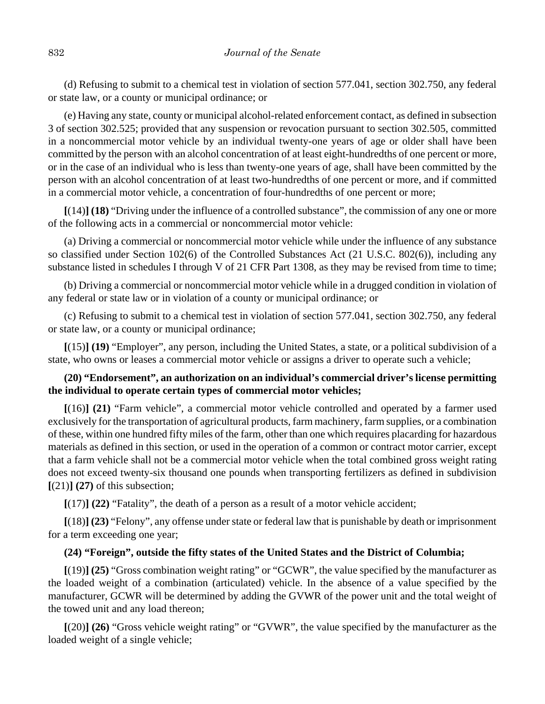(d) Refusing to submit to a chemical test in violation of section 577.041, section 302.750, any federal or state law, or a county or municipal ordinance; or

(e) Having any state, county or municipal alcohol-related enforcement contact, as defined in subsection 3 of section 302.525; provided that any suspension or revocation pursuant to section 302.505, committed in a noncommercial motor vehicle by an individual twenty-one years of age or older shall have been committed by the person with an alcohol concentration of at least eight-hundredths of one percent or more, or in the case of an individual who is less than twenty-one years of age, shall have been committed by the person with an alcohol concentration of at least two-hundredths of one percent or more, and if committed in a commercial motor vehicle, a concentration of four-hundredths of one percent or more;

**[**(14)**] (18)** "Driving under the influence of a controlled substance", the commission of any one or more of the following acts in a commercial or noncommercial motor vehicle:

(a) Driving a commercial or noncommercial motor vehicle while under the influence of any substance so classified under Section 102(6) of the Controlled Substances Act (21 U.S.C. 802(6)), including any substance listed in schedules I through V of 21 CFR Part 1308, as they may be revised from time to time;

(b) Driving a commercial or noncommercial motor vehicle while in a drugged condition in violation of any federal or state law or in violation of a county or municipal ordinance; or

(c) Refusing to submit to a chemical test in violation of section 577.041, section 302.750, any federal or state law, or a county or municipal ordinance;

**[**(15)**] (19)** "Employer", any person, including the United States, a state, or a political subdivision of a state, who owns or leases a commercial motor vehicle or assigns a driver to operate such a vehicle;

## **(20) "Endorsement", an authorization on an individual's commercial driver's license permitting the individual to operate certain types of commercial motor vehicles;**

**[**(16)**] (21)** "Farm vehicle", a commercial motor vehicle controlled and operated by a farmer used exclusively for the transportation of agricultural products, farm machinery, farm supplies, or a combination of these, within one hundred fifty miles of the farm, other than one which requires placarding for hazardous materials as defined in this section, or used in the operation of a common or contract motor carrier, except that a farm vehicle shall not be a commercial motor vehicle when the total combined gross weight rating does not exceed twenty-six thousand one pounds when transporting fertilizers as defined in subdivision **[**(21)**] (27)** of this subsection;

**[**(17)**] (22)** "Fatality", the death of a person as a result of a motor vehicle accident;

**[**(18)**] (23)** "Felony", any offense under state or federal law that is punishable by death or imprisonment for a term exceeding one year;

## **(24) "Foreign", outside the fifty states of the United States and the District of Columbia;**

**[**(19)**] (25)** "Gross combination weight rating" or "GCWR", the value specified by the manufacturer as the loaded weight of a combination (articulated) vehicle. In the absence of a value specified by the manufacturer, GCWR will be determined by adding the GVWR of the power unit and the total weight of the towed unit and any load thereon;

**[**(20)**] (26)** "Gross vehicle weight rating" or "GVWR", the value specified by the manufacturer as the loaded weight of a single vehicle;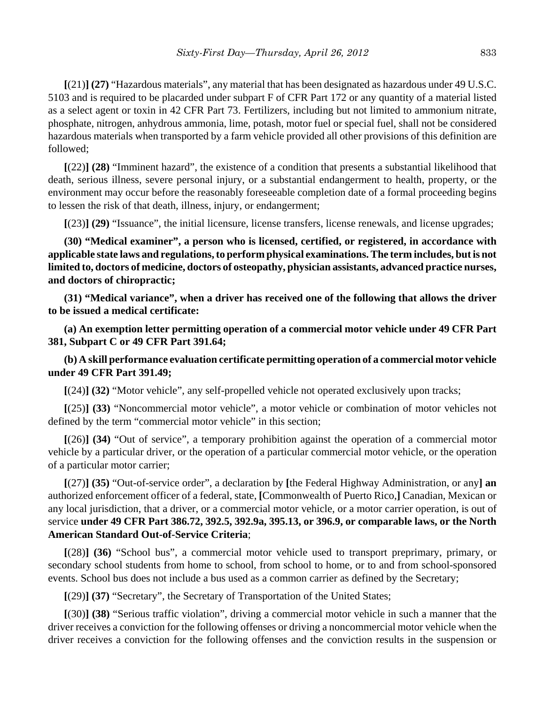**[**(21)**] (27)** "Hazardous materials", any material that has been designated as hazardous under 49 U.S.C. 5103 and is required to be placarded under subpart F of CFR Part 172 or any quantity of a material listed as a select agent or toxin in 42 CFR Part 73. Fertilizers, including but not limited to ammonium nitrate, phosphate, nitrogen, anhydrous ammonia, lime, potash, motor fuel or special fuel, shall not be considered hazardous materials when transported by a farm vehicle provided all other provisions of this definition are followed;

**[**(22)**] (28)** "Imminent hazard", the existence of a condition that presents a substantial likelihood that death, serious illness, severe personal injury, or a substantial endangerment to health, property, or the environment may occur before the reasonably foreseeable completion date of a formal proceeding begins to lessen the risk of that death, illness, injury, or endangerment;

**[**(23)**] (29)** "Issuance", the initial licensure, license transfers, license renewals, and license upgrades;

**(30) "Medical examiner", a person who is licensed, certified, or registered, in accordance with applicable state laws and regulations, to perform physical examinations. The term includes, but is not limited to, doctors of medicine, doctors of osteopathy, physician assistants, advanced practice nurses, and doctors of chiropractic;**

**(31) "Medical variance", when a driver has received one of the following that allows the driver to be issued a medical certificate:**

**(a) An exemption letter permitting operation of a commercial motor vehicle under 49 CFR Part 381, Subpart C or 49 CFR Part 391.64;**

**(b) A skill performance evaluation certificate permitting operation of a commercial motor vehicle under 49 CFR Part 391.49;**

**[**(24)**] (32)** "Motor vehicle", any self-propelled vehicle not operated exclusively upon tracks;

**[**(25)**] (33)** "Noncommercial motor vehicle", a motor vehicle or combination of motor vehicles not defined by the term "commercial motor vehicle" in this section;

**[**(26)**] (34)** "Out of service", a temporary prohibition against the operation of a commercial motor vehicle by a particular driver, or the operation of a particular commercial motor vehicle, or the operation of a particular motor carrier;

**[**(27)**] (35)** "Out-of-service order", a declaration by **[**the Federal Highway Administration, or any**] an** authorized enforcement officer of a federal, state, **[**Commonwealth of Puerto Rico,**]** Canadian, Mexican or any local jurisdiction, that a driver, or a commercial motor vehicle, or a motor carrier operation, is out of service **under 49 CFR Part 386.72, 392.5, 392.9a, 395.13, or 396.9, or comparable laws, or the North American Standard Out-of-Service Criteria**;

**[**(28)**] (36)** "School bus", a commercial motor vehicle used to transport preprimary, primary, or secondary school students from home to school, from school to home, or to and from school-sponsored events. School bus does not include a bus used as a common carrier as defined by the Secretary;

**[**(29)**] (37)** "Secretary", the Secretary of Transportation of the United States;

**[**(30)**] (38)** "Serious traffic violation", driving a commercial motor vehicle in such a manner that the driver receives a conviction for the following offenses or driving a noncommercial motor vehicle when the driver receives a conviction for the following offenses and the conviction results in the suspension or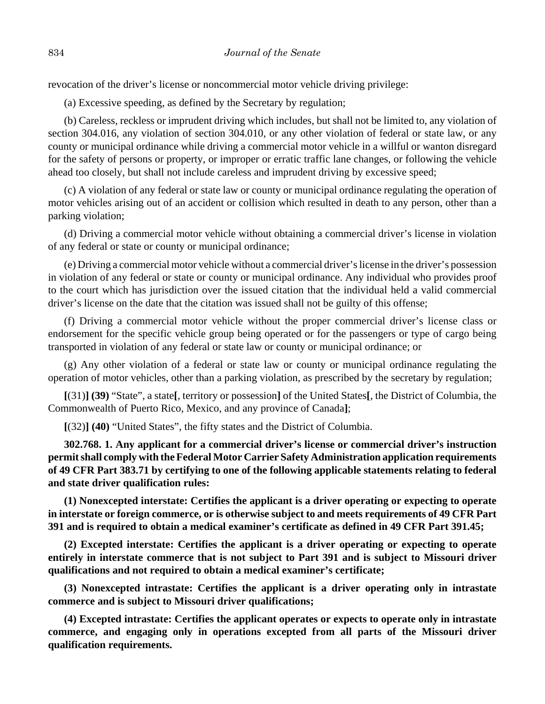revocation of the driver's license or noncommercial motor vehicle driving privilege:

(a) Excessive speeding, as defined by the Secretary by regulation;

(b) Careless, reckless or imprudent driving which includes, but shall not be limited to, any violation of section 304.016, any violation of section 304.010, or any other violation of federal or state law, or any county or municipal ordinance while driving a commercial motor vehicle in a willful or wanton disregard for the safety of persons or property, or improper or erratic traffic lane changes, or following the vehicle ahead too closely, but shall not include careless and imprudent driving by excessive speed;

(c) A violation of any federal or state law or county or municipal ordinance regulating the operation of motor vehicles arising out of an accident or collision which resulted in death to any person, other than a parking violation;

(d) Driving a commercial motor vehicle without obtaining a commercial driver's license in violation of any federal or state or county or municipal ordinance;

(e) Driving a commercial motor vehicle without a commercial driver's license in the driver's possession in violation of any federal or state or county or municipal ordinance. Any individual who provides proof to the court which has jurisdiction over the issued citation that the individual held a valid commercial driver's license on the date that the citation was issued shall not be guilty of this offense;

(f) Driving a commercial motor vehicle without the proper commercial driver's license class or endorsement for the specific vehicle group being operated or for the passengers or type of cargo being transported in violation of any federal or state law or county or municipal ordinance; or

(g) Any other violation of a federal or state law or county or municipal ordinance regulating the operation of motor vehicles, other than a parking violation, as prescribed by the secretary by regulation;

**[**(31)**] (39)** "State", a state**[**, territory or possession**]** of the United States**[**, the District of Columbia, the Commonwealth of Puerto Rico, Mexico, and any province of Canada**]**;

**[**(32)**] (40)** "United States", the fifty states and the District of Columbia.

**302.768. 1. Any applicant for a commercial driver's license or commercial driver's instruction permit shall comply with the Federal Motor Carrier Safety Administration application requirements of 49 CFR Part 383.71 by certifying to one of the following applicable statements relating to federal and state driver qualification rules:**

**(1) Nonexcepted interstate: Certifies the applicant is a driver operating or expecting to operate in interstate or foreign commerce, or is otherwise subject to and meets requirements of 49 CFR Part 391 and is required to obtain a medical examiner's certificate as defined in 49 CFR Part 391.45;**

**(2) Excepted interstate: Certifies the applicant is a driver operating or expecting to operate entirely in interstate commerce that is not subject to Part 391 and is subject to Missouri driver qualifications and not required to obtain a medical examiner's certificate;**

**(3) Nonexcepted intrastate: Certifies the applicant is a driver operating only in intrastate commerce and is subject to Missouri driver qualifications;**

**(4) Excepted intrastate: Certifies the applicant operates or expects to operate only in intrastate commerce, and engaging only in operations excepted from all parts of the Missouri driver qualification requirements.**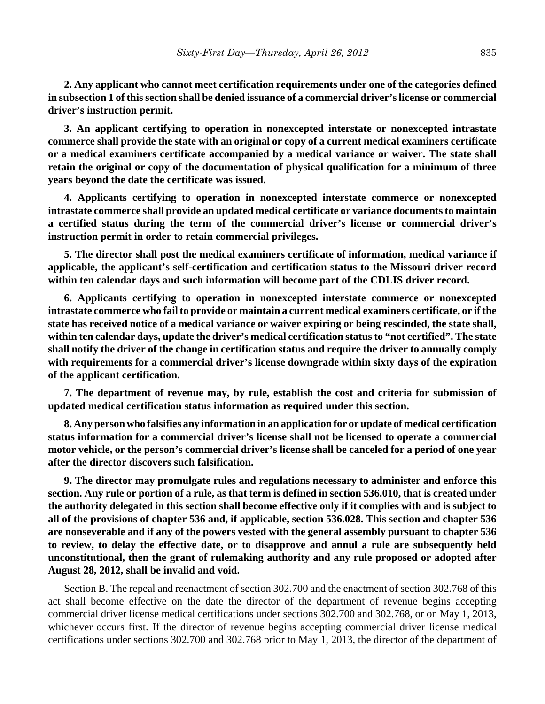**2. Any applicant who cannot meet certification requirements under one of the categories defined in subsection 1 of this section shall be denied issuance of a commercial driver's license or commercial driver's instruction permit.**

**3. An applicant certifying to operation in nonexcepted interstate or nonexcepted intrastate commerce shall provide the state with an original or copy of a current medical examiners certificate or a medical examiners certificate accompanied by a medical variance or waiver. The state shall retain the original or copy of the documentation of physical qualification for a minimum of three years beyond the date the certificate was issued.**

**4. Applicants certifying to operation in nonexcepted interstate commerce or nonexcepted intrastate commerce shall provide an updated medical certificate or variance documents to maintain a certified status during the term of the commercial driver's license or commercial driver's instruction permit in order to retain commercial privileges.**

**5. The director shall post the medical examiners certificate of information, medical variance if applicable, the applicant's self-certification and certification status to the Missouri driver record within ten calendar days and such information will become part of the CDLIS driver record.**

**6. Applicants certifying to operation in nonexcepted interstate commerce or nonexcepted intrastate commerce who fail to provide or maintain a current medical examiners certificate, or if the state has received notice of a medical variance or waiver expiring or being rescinded, the state shall, within ten calendar days, update the driver's medical certification status to "not certified". The state shall notify the driver of the change in certification status and require the driver to annually comply with requirements for a commercial driver's license downgrade within sixty days of the expiration of the applicant certification.**

**7. The department of revenue may, by rule, establish the cost and criteria for submission of updated medical certification status information as required under this section.**

**8. Any person who falsifies any information in an application for or update of medical certification status information for a commercial driver's license shall not be licensed to operate a commercial motor vehicle, or the person's commercial driver's license shall be canceled for a period of one year after the director discovers such falsification.**

**9. The director may promulgate rules and regulations necessary to administer and enforce this section. Any rule or portion of a rule, as that term is defined in section 536.010, that is created under the authority delegated in this section shall become effective only if it complies with and is subject to all of the provisions of chapter 536 and, if applicable, section 536.028. This section and chapter 536 are nonseverable and if any of the powers vested with the general assembly pursuant to chapter 536 to review, to delay the effective date, or to disapprove and annul a rule are subsequently held unconstitutional, then the grant of rulemaking authority and any rule proposed or adopted after August 28, 2012, shall be invalid and void.**

Section B. The repeal and reenactment of section 302.700 and the enactment of section 302.768 of this act shall become effective on the date the director of the department of revenue begins accepting commercial driver license medical certifications under sections 302.700 and 302.768, or on May 1, 2013, whichever occurs first. If the director of revenue begins accepting commercial driver license medical certifications under sections 302.700 and 302.768 prior to May 1, 2013, the director of the department of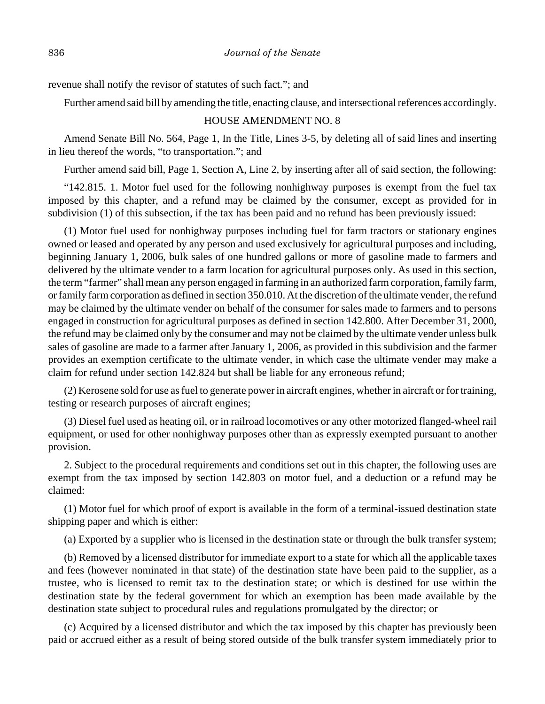revenue shall notify the revisor of statutes of such fact."; and

Further amend said bill by amending the title, enacting clause, and intersectional references accordingly.

#### HOUSE AMENDMENT NO. 8

Amend Senate Bill No. 564, Page 1, In the Title, Lines 3-5, by deleting all of said lines and inserting in lieu thereof the words, "to transportation."; and

Further amend said bill, Page 1, Section A, Line 2, by inserting after all of said section, the following:

"142.815. 1. Motor fuel used for the following nonhighway purposes is exempt from the fuel tax imposed by this chapter, and a refund may be claimed by the consumer, except as provided for in subdivision (1) of this subsection, if the tax has been paid and no refund has been previously issued:

(1) Motor fuel used for nonhighway purposes including fuel for farm tractors or stationary engines owned or leased and operated by any person and used exclusively for agricultural purposes and including, beginning January 1, 2006, bulk sales of one hundred gallons or more of gasoline made to farmers and delivered by the ultimate vender to a farm location for agricultural purposes only. As used in this section, the term "farmer" shall mean any person engaged in farming in an authorized farm corporation, family farm, or family farm corporation as defined in section 350.010. At the discretion of the ultimate vender, the refund may be claimed by the ultimate vender on behalf of the consumer for sales made to farmers and to persons engaged in construction for agricultural purposes as defined in section 142.800. After December 31, 2000, the refund may be claimed only by the consumer and may not be claimed by the ultimate vender unless bulk sales of gasoline are made to a farmer after January 1, 2006, as provided in this subdivision and the farmer provides an exemption certificate to the ultimate vender, in which case the ultimate vender may make a claim for refund under section 142.824 but shall be liable for any erroneous refund;

(2) Kerosene sold for use as fuel to generate power in aircraft engines, whether in aircraft or for training, testing or research purposes of aircraft engines;

(3) Diesel fuel used as heating oil, or in railroad locomotives or any other motorized flanged-wheel rail equipment, or used for other nonhighway purposes other than as expressly exempted pursuant to another provision.

2. Subject to the procedural requirements and conditions set out in this chapter, the following uses are exempt from the tax imposed by section 142.803 on motor fuel, and a deduction or a refund may be claimed:

(1) Motor fuel for which proof of export is available in the form of a terminal-issued destination state shipping paper and which is either:

(a) Exported by a supplier who is licensed in the destination state or through the bulk transfer system;

(b) Removed by a licensed distributor for immediate export to a state for which all the applicable taxes and fees (however nominated in that state) of the destination state have been paid to the supplier, as a trustee, who is licensed to remit tax to the destination state; or which is destined for use within the destination state by the federal government for which an exemption has been made available by the destination state subject to procedural rules and regulations promulgated by the director; or

(c) Acquired by a licensed distributor and which the tax imposed by this chapter has previously been paid or accrued either as a result of being stored outside of the bulk transfer system immediately prior to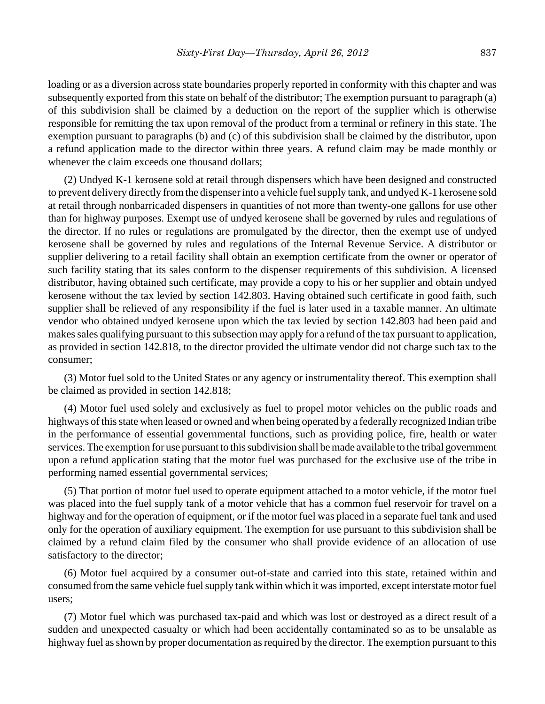loading or as a diversion across state boundaries properly reported in conformity with this chapter and was subsequently exported from this state on behalf of the distributor; The exemption pursuant to paragraph (a) of this subdivision shall be claimed by a deduction on the report of the supplier which is otherwise responsible for remitting the tax upon removal of the product from a terminal or refinery in this state. The exemption pursuant to paragraphs (b) and (c) of this subdivision shall be claimed by the distributor, upon a refund application made to the director within three years. A refund claim may be made monthly or whenever the claim exceeds one thousand dollars;

(2) Undyed K-1 kerosene sold at retail through dispensers which have been designed and constructed to prevent delivery directly from the dispenser into a vehicle fuel supply tank, and undyed K-1 kerosene sold at retail through nonbarricaded dispensers in quantities of not more than twenty-one gallons for use other than for highway purposes. Exempt use of undyed kerosene shall be governed by rules and regulations of the director. If no rules or regulations are promulgated by the director, then the exempt use of undyed kerosene shall be governed by rules and regulations of the Internal Revenue Service. A distributor or supplier delivering to a retail facility shall obtain an exemption certificate from the owner or operator of such facility stating that its sales conform to the dispenser requirements of this subdivision. A licensed distributor, having obtained such certificate, may provide a copy to his or her supplier and obtain undyed kerosene without the tax levied by section 142.803. Having obtained such certificate in good faith, such supplier shall be relieved of any responsibility if the fuel is later used in a taxable manner. An ultimate vendor who obtained undyed kerosene upon which the tax levied by section 142.803 had been paid and makes sales qualifying pursuant to this subsection may apply for a refund of the tax pursuant to application, as provided in section 142.818, to the director provided the ultimate vendor did not charge such tax to the consumer;

(3) Motor fuel sold to the United States or any agency or instrumentality thereof. This exemption shall be claimed as provided in section 142.818;

(4) Motor fuel used solely and exclusively as fuel to propel motor vehicles on the public roads and highways of this state when leased or owned and when being operated by a federally recognized Indian tribe in the performance of essential governmental functions, such as providing police, fire, health or water services. The exemption for use pursuant to this subdivision shall be made available to the tribal government upon a refund application stating that the motor fuel was purchased for the exclusive use of the tribe in performing named essential governmental services;

(5) That portion of motor fuel used to operate equipment attached to a motor vehicle, if the motor fuel was placed into the fuel supply tank of a motor vehicle that has a common fuel reservoir for travel on a highway and for the operation of equipment, or if the motor fuel was placed in a separate fuel tank and used only for the operation of auxiliary equipment. The exemption for use pursuant to this subdivision shall be claimed by a refund claim filed by the consumer who shall provide evidence of an allocation of use satisfactory to the director;

(6) Motor fuel acquired by a consumer out-of-state and carried into this state, retained within and consumed from the same vehicle fuel supply tank within which it was imported, except interstate motor fuel users;

(7) Motor fuel which was purchased tax-paid and which was lost or destroyed as a direct result of a sudden and unexpected casualty or which had been accidentally contaminated so as to be unsalable as highway fuel as shown by proper documentation as required by the director. The exemption pursuant to this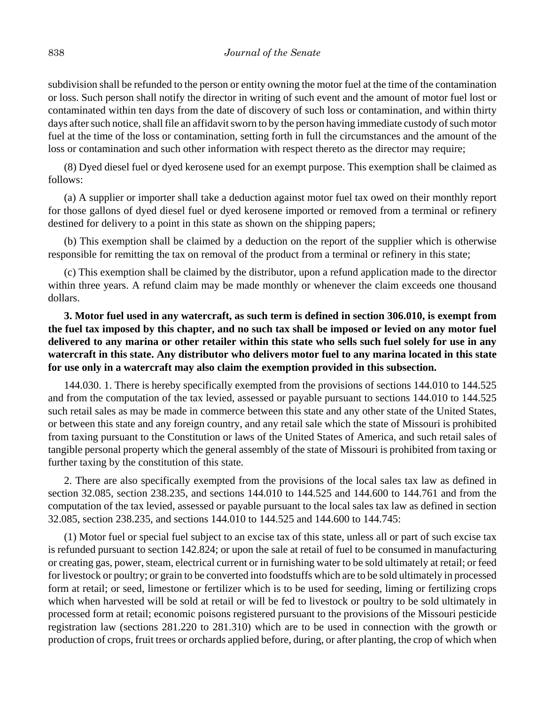subdivision shall be refunded to the person or entity owning the motor fuel at the time of the contamination or loss. Such person shall notify the director in writing of such event and the amount of motor fuel lost or contaminated within ten days from the date of discovery of such loss or contamination, and within thirty days after such notice, shall file an affidavit sworn to by the person having immediate custody of such motor fuel at the time of the loss or contamination, setting forth in full the circumstances and the amount of the loss or contamination and such other information with respect thereto as the director may require;

(8) Dyed diesel fuel or dyed kerosene used for an exempt purpose. This exemption shall be claimed as follows:

(a) A supplier or importer shall take a deduction against motor fuel tax owed on their monthly report for those gallons of dyed diesel fuel or dyed kerosene imported or removed from a terminal or refinery destined for delivery to a point in this state as shown on the shipping papers;

(b) This exemption shall be claimed by a deduction on the report of the supplier which is otherwise responsible for remitting the tax on removal of the product from a terminal or refinery in this state;

(c) This exemption shall be claimed by the distributor, upon a refund application made to the director within three years. A refund claim may be made monthly or whenever the claim exceeds one thousand dollars.

**3. Motor fuel used in any watercraft, as such term is defined in section 306.010, is exempt from the fuel tax imposed by this chapter, and no such tax shall be imposed or levied on any motor fuel delivered to any marina or other retailer within this state who sells such fuel solely for use in any watercraft in this state. Any distributor who delivers motor fuel to any marina located in this state for use only in a watercraft may also claim the exemption provided in this subsection.**

144.030. 1. There is hereby specifically exempted from the provisions of sections 144.010 to 144.525 and from the computation of the tax levied, assessed or payable pursuant to sections 144.010 to 144.525 such retail sales as may be made in commerce between this state and any other state of the United States, or between this state and any foreign country, and any retail sale which the state of Missouri is prohibited from taxing pursuant to the Constitution or laws of the United States of America, and such retail sales of tangible personal property which the general assembly of the state of Missouri is prohibited from taxing or further taxing by the constitution of this state.

2. There are also specifically exempted from the provisions of the local sales tax law as defined in section 32.085, section 238.235, and sections 144.010 to 144.525 and 144.600 to 144.761 and from the computation of the tax levied, assessed or payable pursuant to the local sales tax law as defined in section 32.085, section 238.235, and sections 144.010 to 144.525 and 144.600 to 144.745:

(1) Motor fuel or special fuel subject to an excise tax of this state, unless all or part of such excise tax is refunded pursuant to section 142.824; or upon the sale at retail of fuel to be consumed in manufacturing or creating gas, power, steam, electrical current or in furnishing water to be sold ultimately at retail; or feed for livestock or poultry; or grain to be converted into foodstuffs which are to be sold ultimately in processed form at retail; or seed, limestone or fertilizer which is to be used for seeding, liming or fertilizing crops which when harvested will be sold at retail or will be fed to livestock or poultry to be sold ultimately in processed form at retail; economic poisons registered pursuant to the provisions of the Missouri pesticide registration law (sections 281.220 to 281.310) which are to be used in connection with the growth or production of crops, fruit trees or orchards applied before, during, or after planting, the crop of which when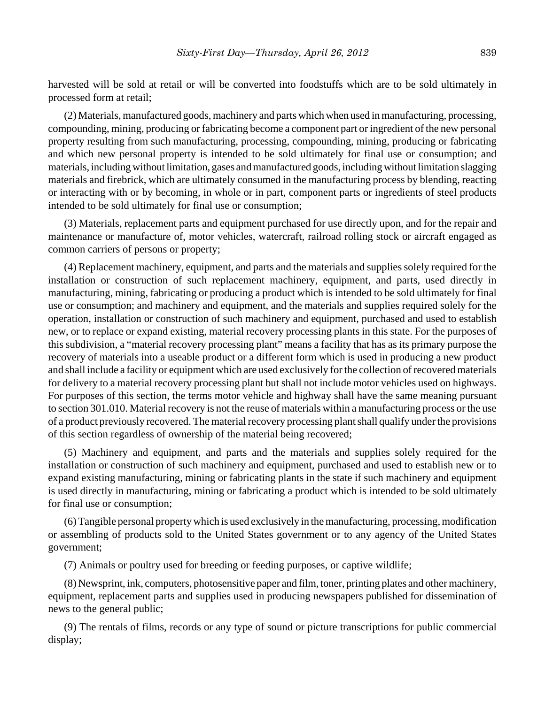harvested will be sold at retail or will be converted into foodstuffs which are to be sold ultimately in processed form at retail;

(2) Materials, manufactured goods, machinery and parts which when used in manufacturing, processing, compounding, mining, producing or fabricating become a component part or ingredient of the new personal property resulting from such manufacturing, processing, compounding, mining, producing or fabricating and which new personal property is intended to be sold ultimately for final use or consumption; and materials, including without limitation, gases and manufactured goods, including without limitation slagging materials and firebrick, which are ultimately consumed in the manufacturing process by blending, reacting or interacting with or by becoming, in whole or in part, component parts or ingredients of steel products intended to be sold ultimately for final use or consumption;

(3) Materials, replacement parts and equipment purchased for use directly upon, and for the repair and maintenance or manufacture of, motor vehicles, watercraft, railroad rolling stock or aircraft engaged as common carriers of persons or property;

(4) Replacement machinery, equipment, and parts and the materials and supplies solely required for the installation or construction of such replacement machinery, equipment, and parts, used directly in manufacturing, mining, fabricating or producing a product which is intended to be sold ultimately for final use or consumption; and machinery and equipment, and the materials and supplies required solely for the operation, installation or construction of such machinery and equipment, purchased and used to establish new, or to replace or expand existing, material recovery processing plants in this state. For the purposes of this subdivision, a "material recovery processing plant" means a facility that has as its primary purpose the recovery of materials into a useable product or a different form which is used in producing a new product and shall include a facility or equipment which are used exclusively for the collection of recovered materials for delivery to a material recovery processing plant but shall not include motor vehicles used on highways. For purposes of this section, the terms motor vehicle and highway shall have the same meaning pursuant to section 301.010. Material recovery is not the reuse of materials within a manufacturing process or the use of a product previously recovered. The material recovery processing plant shall qualify under the provisions of this section regardless of ownership of the material being recovered;

(5) Machinery and equipment, and parts and the materials and supplies solely required for the installation or construction of such machinery and equipment, purchased and used to establish new or to expand existing manufacturing, mining or fabricating plants in the state if such machinery and equipment is used directly in manufacturing, mining or fabricating a product which is intended to be sold ultimately for final use or consumption;

(6) Tangible personal property which is used exclusively in the manufacturing, processing, modification or assembling of products sold to the United States government or to any agency of the United States government;

(7) Animals or poultry used for breeding or feeding purposes, or captive wildlife;

(8) Newsprint, ink, computers, photosensitive paper and film, toner, printing plates and other machinery, equipment, replacement parts and supplies used in producing newspapers published for dissemination of news to the general public;

(9) The rentals of films, records or any type of sound or picture transcriptions for public commercial display;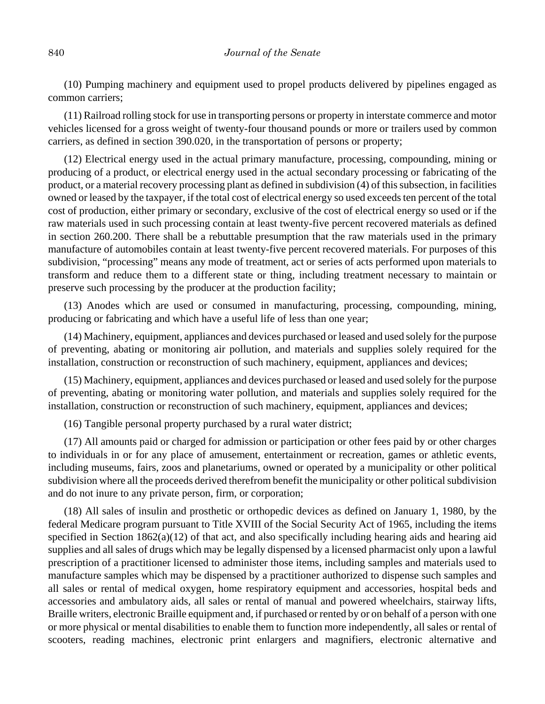(10) Pumping machinery and equipment used to propel products delivered by pipelines engaged as common carriers;

(11) Railroad rolling stock for use in transporting persons or property in interstate commerce and motor vehicles licensed for a gross weight of twenty-four thousand pounds or more or trailers used by common carriers, as defined in section 390.020, in the transportation of persons or property;

(12) Electrical energy used in the actual primary manufacture, processing, compounding, mining or producing of a product, or electrical energy used in the actual secondary processing or fabricating of the product, or a material recovery processing plant as defined in subdivision (4) of this subsection, in facilities owned or leased by the taxpayer, if the total cost of electrical energy so used exceeds ten percent of the total cost of production, either primary or secondary, exclusive of the cost of electrical energy so used or if the raw materials used in such processing contain at least twenty-five percent recovered materials as defined in section 260.200. There shall be a rebuttable presumption that the raw materials used in the primary manufacture of automobiles contain at least twenty-five percent recovered materials. For purposes of this subdivision, "processing" means any mode of treatment, act or series of acts performed upon materials to transform and reduce them to a different state or thing, including treatment necessary to maintain or preserve such processing by the producer at the production facility;

(13) Anodes which are used or consumed in manufacturing, processing, compounding, mining, producing or fabricating and which have a useful life of less than one year;

(14) Machinery, equipment, appliances and devices purchased or leased and used solely for the purpose of preventing, abating or monitoring air pollution, and materials and supplies solely required for the installation, construction or reconstruction of such machinery, equipment, appliances and devices;

(15) Machinery, equipment, appliances and devices purchased or leased and used solely for the purpose of preventing, abating or monitoring water pollution, and materials and supplies solely required for the installation, construction or reconstruction of such machinery, equipment, appliances and devices;

(16) Tangible personal property purchased by a rural water district;

(17) All amounts paid or charged for admission or participation or other fees paid by or other charges to individuals in or for any place of amusement, entertainment or recreation, games or athletic events, including museums, fairs, zoos and planetariums, owned or operated by a municipality or other political subdivision where all the proceeds derived therefrom benefit the municipality or other political subdivision and do not inure to any private person, firm, or corporation;

(18) All sales of insulin and prosthetic or orthopedic devices as defined on January 1, 1980, by the federal Medicare program pursuant to Title XVIII of the Social Security Act of 1965, including the items specified in Section  $1862(a)(12)$  of that act, and also specifically including hearing aids and hearing aid supplies and all sales of drugs which may be legally dispensed by a licensed pharmacist only upon a lawful prescription of a practitioner licensed to administer those items, including samples and materials used to manufacture samples which may be dispensed by a practitioner authorized to dispense such samples and all sales or rental of medical oxygen, home respiratory equipment and accessories, hospital beds and accessories and ambulatory aids, all sales or rental of manual and powered wheelchairs, stairway lifts, Braille writers, electronic Braille equipment and, if purchased or rented by or on behalf of a person with one or more physical or mental disabilities to enable them to function more independently, all sales or rental of scooters, reading machines, electronic print enlargers and magnifiers, electronic alternative and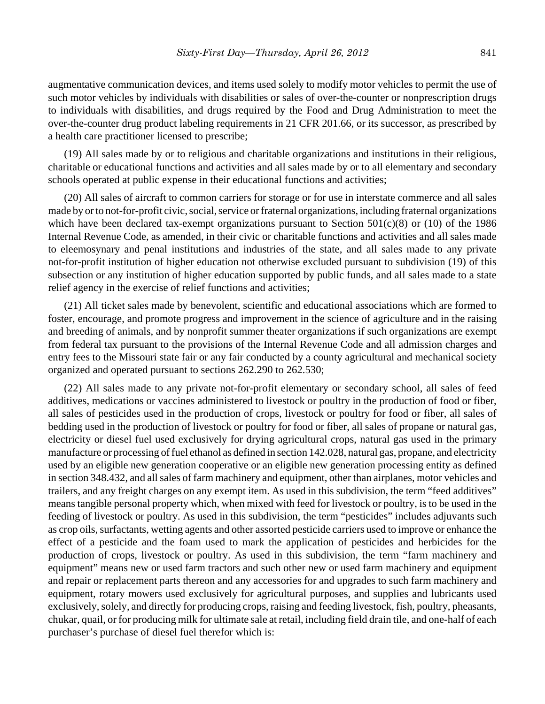augmentative communication devices, and items used solely to modify motor vehicles to permit the use of such motor vehicles by individuals with disabilities or sales of over-the-counter or nonprescription drugs to individuals with disabilities, and drugs required by the Food and Drug Administration to meet the over-the-counter drug product labeling requirements in 21 CFR 201.66, or its successor, as prescribed by a health care practitioner licensed to prescribe;

(19) All sales made by or to religious and charitable organizations and institutions in their religious, charitable or educational functions and activities and all sales made by or to all elementary and secondary schools operated at public expense in their educational functions and activities;

(20) All sales of aircraft to common carriers for storage or for use in interstate commerce and all sales made by or to not-for-profit civic, social, service or fraternal organizations, including fraternal organizations which have been declared tax-exempt organizations pursuant to Section 501(c)(8) or (10) of the 1986 Internal Revenue Code, as amended, in their civic or charitable functions and activities and all sales made to eleemosynary and penal institutions and industries of the state, and all sales made to any private not-for-profit institution of higher education not otherwise excluded pursuant to subdivision (19) of this subsection or any institution of higher education supported by public funds, and all sales made to a state relief agency in the exercise of relief functions and activities;

(21) All ticket sales made by benevolent, scientific and educational associations which are formed to foster, encourage, and promote progress and improvement in the science of agriculture and in the raising and breeding of animals, and by nonprofit summer theater organizations if such organizations are exempt from federal tax pursuant to the provisions of the Internal Revenue Code and all admission charges and entry fees to the Missouri state fair or any fair conducted by a county agricultural and mechanical society organized and operated pursuant to sections 262.290 to 262.530;

(22) All sales made to any private not-for-profit elementary or secondary school, all sales of feed additives, medications or vaccines administered to livestock or poultry in the production of food or fiber, all sales of pesticides used in the production of crops, livestock or poultry for food or fiber, all sales of bedding used in the production of livestock or poultry for food or fiber, all sales of propane or natural gas, electricity or diesel fuel used exclusively for drying agricultural crops, natural gas used in the primary manufacture or processing of fuel ethanol as defined in section 142.028, natural gas, propane, and electricity used by an eligible new generation cooperative or an eligible new generation processing entity as defined in section 348.432, and all sales of farm machinery and equipment, other than airplanes, motor vehicles and trailers, and any freight charges on any exempt item. As used in this subdivision, the term "feed additives" means tangible personal property which, when mixed with feed for livestock or poultry, is to be used in the feeding of livestock or poultry. As used in this subdivision, the term "pesticides" includes adjuvants such as crop oils, surfactants, wetting agents and other assorted pesticide carriers used to improve or enhance the effect of a pesticide and the foam used to mark the application of pesticides and herbicides for the production of crops, livestock or poultry. As used in this subdivision, the term "farm machinery and equipment" means new or used farm tractors and such other new or used farm machinery and equipment and repair or replacement parts thereon and any accessories for and upgrades to such farm machinery and equipment, rotary mowers used exclusively for agricultural purposes, and supplies and lubricants used exclusively, solely, and directly for producing crops, raising and feeding livestock, fish, poultry, pheasants, chukar, quail, or for producing milk for ultimate sale at retail, including field drain tile, and one-half of each purchaser's purchase of diesel fuel therefor which is: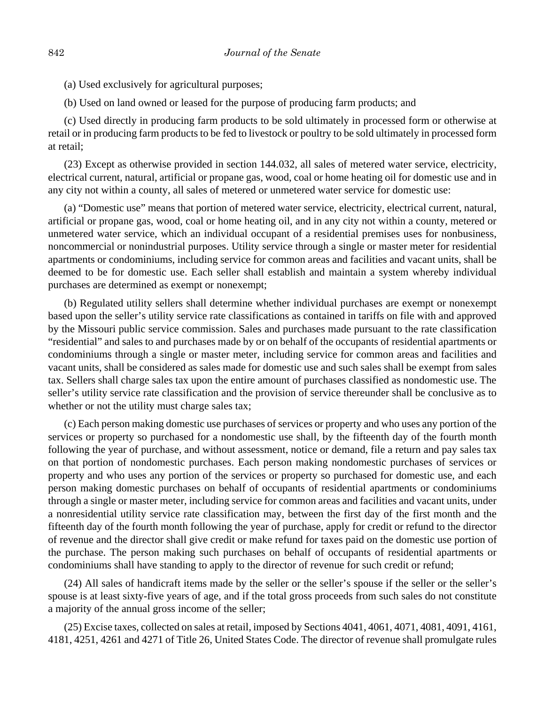(a) Used exclusively for agricultural purposes;

(b) Used on land owned or leased for the purpose of producing farm products; and

(c) Used directly in producing farm products to be sold ultimately in processed form or otherwise at retail or in producing farm products to be fed to livestock or poultry to be sold ultimately in processed form at retail;

(23) Except as otherwise provided in section 144.032, all sales of metered water service, electricity, electrical current, natural, artificial or propane gas, wood, coal or home heating oil for domestic use and in any city not within a county, all sales of metered or unmetered water service for domestic use:

(a) "Domestic use" means that portion of metered water service, electricity, electrical current, natural, artificial or propane gas, wood, coal or home heating oil, and in any city not within a county, metered or unmetered water service, which an individual occupant of a residential premises uses for nonbusiness, noncommercial or nonindustrial purposes. Utility service through a single or master meter for residential apartments or condominiums, including service for common areas and facilities and vacant units, shall be deemed to be for domestic use. Each seller shall establish and maintain a system whereby individual purchases are determined as exempt or nonexempt;

(b) Regulated utility sellers shall determine whether individual purchases are exempt or nonexempt based upon the seller's utility service rate classifications as contained in tariffs on file with and approved by the Missouri public service commission. Sales and purchases made pursuant to the rate classification "residential" and sales to and purchases made by or on behalf of the occupants of residential apartments or condominiums through a single or master meter, including service for common areas and facilities and vacant units, shall be considered as sales made for domestic use and such sales shall be exempt from sales tax. Sellers shall charge sales tax upon the entire amount of purchases classified as nondomestic use. The seller's utility service rate classification and the provision of service thereunder shall be conclusive as to whether or not the utility must charge sales tax;

(c) Each person making domestic use purchases of services or property and who uses any portion of the services or property so purchased for a nondomestic use shall, by the fifteenth day of the fourth month following the year of purchase, and without assessment, notice or demand, file a return and pay sales tax on that portion of nondomestic purchases. Each person making nondomestic purchases of services or property and who uses any portion of the services or property so purchased for domestic use, and each person making domestic purchases on behalf of occupants of residential apartments or condominiums through a single or master meter, including service for common areas and facilities and vacant units, under a nonresidential utility service rate classification may, between the first day of the first month and the fifteenth day of the fourth month following the year of purchase, apply for credit or refund to the director of revenue and the director shall give credit or make refund for taxes paid on the domestic use portion of the purchase. The person making such purchases on behalf of occupants of residential apartments or condominiums shall have standing to apply to the director of revenue for such credit or refund;

(24) All sales of handicraft items made by the seller or the seller's spouse if the seller or the seller's spouse is at least sixty-five years of age, and if the total gross proceeds from such sales do not constitute a majority of the annual gross income of the seller;

(25) Excise taxes, collected on sales at retail, imposed by Sections 4041, 4061, 4071, 4081, 4091, 4161, 4181, 4251, 4261 and 4271 of Title 26, United States Code. The director of revenue shall promulgate rules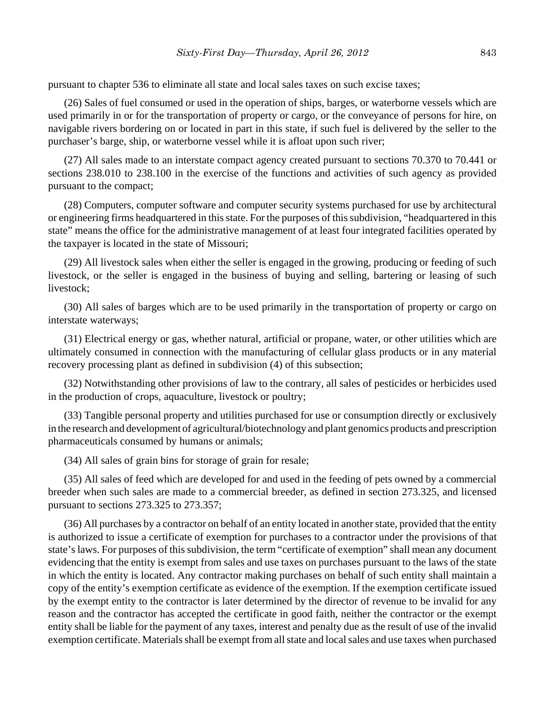pursuant to chapter 536 to eliminate all state and local sales taxes on such excise taxes;

(26) Sales of fuel consumed or used in the operation of ships, barges, or waterborne vessels which are used primarily in or for the transportation of property or cargo, or the conveyance of persons for hire, on navigable rivers bordering on or located in part in this state, if such fuel is delivered by the seller to the purchaser's barge, ship, or waterborne vessel while it is afloat upon such river;

(27) All sales made to an interstate compact agency created pursuant to sections 70.370 to 70.441 or sections 238.010 to 238.100 in the exercise of the functions and activities of such agency as provided pursuant to the compact;

(28) Computers, computer software and computer security systems purchased for use by architectural or engineering firms headquartered in this state. For the purposes of this subdivision, "headquartered in this state" means the office for the administrative management of at least four integrated facilities operated by the taxpayer is located in the state of Missouri;

(29) All livestock sales when either the seller is engaged in the growing, producing or feeding of such livestock, or the seller is engaged in the business of buying and selling, bartering or leasing of such livestock;

(30) All sales of barges which are to be used primarily in the transportation of property or cargo on interstate waterways;

(31) Electrical energy or gas, whether natural, artificial or propane, water, or other utilities which are ultimately consumed in connection with the manufacturing of cellular glass products or in any material recovery processing plant as defined in subdivision (4) of this subsection;

(32) Notwithstanding other provisions of law to the contrary, all sales of pesticides or herbicides used in the production of crops, aquaculture, livestock or poultry;

(33) Tangible personal property and utilities purchased for use or consumption directly or exclusively in the research and development of agricultural/biotechnology and plant genomics products and prescription pharmaceuticals consumed by humans or animals;

(34) All sales of grain bins for storage of grain for resale;

(35) All sales of feed which are developed for and used in the feeding of pets owned by a commercial breeder when such sales are made to a commercial breeder, as defined in section 273.325, and licensed pursuant to sections 273.325 to 273.357;

(36) All purchases by a contractor on behalf of an entity located in another state, provided that the entity is authorized to issue a certificate of exemption for purchases to a contractor under the provisions of that state's laws. For purposes of this subdivision, the term "certificate of exemption" shall mean any document evidencing that the entity is exempt from sales and use taxes on purchases pursuant to the laws of the state in which the entity is located. Any contractor making purchases on behalf of such entity shall maintain a copy of the entity's exemption certificate as evidence of the exemption. If the exemption certificate issued by the exempt entity to the contractor is later determined by the director of revenue to be invalid for any reason and the contractor has accepted the certificate in good faith, neither the contractor or the exempt entity shall be liable for the payment of any taxes, interest and penalty due as the result of use of the invalid exemption certificate. Materials shall be exempt from all state and local sales and use taxes when purchased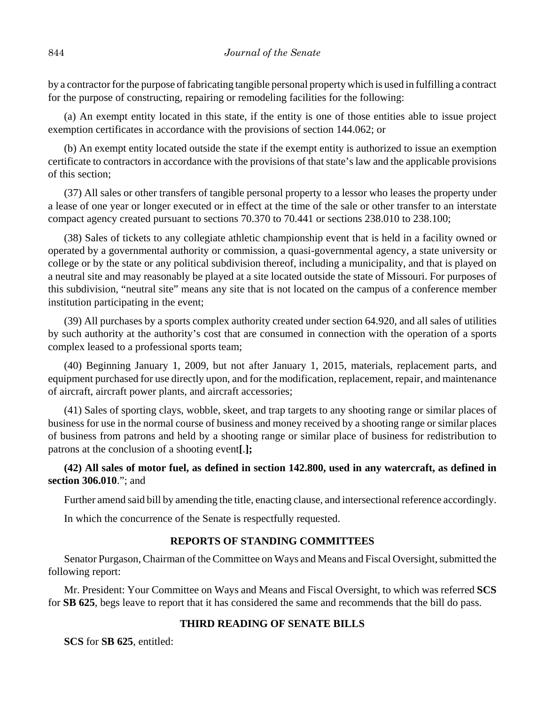by a contractor for the purpose of fabricating tangible personal property which is used in fulfilling a contract for the purpose of constructing, repairing or remodeling facilities for the following:

(a) An exempt entity located in this state, if the entity is one of those entities able to issue project exemption certificates in accordance with the provisions of section 144.062; or

(b) An exempt entity located outside the state if the exempt entity is authorized to issue an exemption certificate to contractors in accordance with the provisions of that state's law and the applicable provisions of this section;

(37) All sales or other transfers of tangible personal property to a lessor who leases the property under a lease of one year or longer executed or in effect at the time of the sale or other transfer to an interstate compact agency created pursuant to sections 70.370 to 70.441 or sections 238.010 to 238.100;

(38) Sales of tickets to any collegiate athletic championship event that is held in a facility owned or operated by a governmental authority or commission, a quasi-governmental agency, a state university or college or by the state or any political subdivision thereof, including a municipality, and that is played on a neutral site and may reasonably be played at a site located outside the state of Missouri. For purposes of this subdivision, "neutral site" means any site that is not located on the campus of a conference member institution participating in the event;

(39) All purchases by a sports complex authority created under section 64.920, and all sales of utilities by such authority at the authority's cost that are consumed in connection with the operation of a sports complex leased to a professional sports team;

(40) Beginning January 1, 2009, but not after January 1, 2015, materials, replacement parts, and equipment purchased for use directly upon, and for the modification, replacement, repair, and maintenance of aircraft, aircraft power plants, and aircraft accessories;

(41) Sales of sporting clays, wobble, skeet, and trap targets to any shooting range or similar places of business for use in the normal course of business and money received by a shooting range or similar places of business from patrons and held by a shooting range or similar place of business for redistribution to patrons at the conclusion of a shooting event**[**.**];**

## **(42) All sales of motor fuel, as defined in section 142.800, used in any watercraft, as defined in section 306.010**."; and

Further amend said bill by amending the title, enacting clause, and intersectional reference accordingly.

In which the concurrence of the Senate is respectfully requested.

## **REPORTS OF STANDING COMMITTEES**

Senator Purgason, Chairman of the Committee on Ways and Means and Fiscal Oversight, submitted the following report:

Mr. President: Your Committee on Ways and Means and Fiscal Oversight, to which was referred **SCS** for **SB 625**, begs leave to report that it has considered the same and recommends that the bill do pass.

## **THIRD READING OF SENATE BILLS**

**SCS** for **SB 625**, entitled: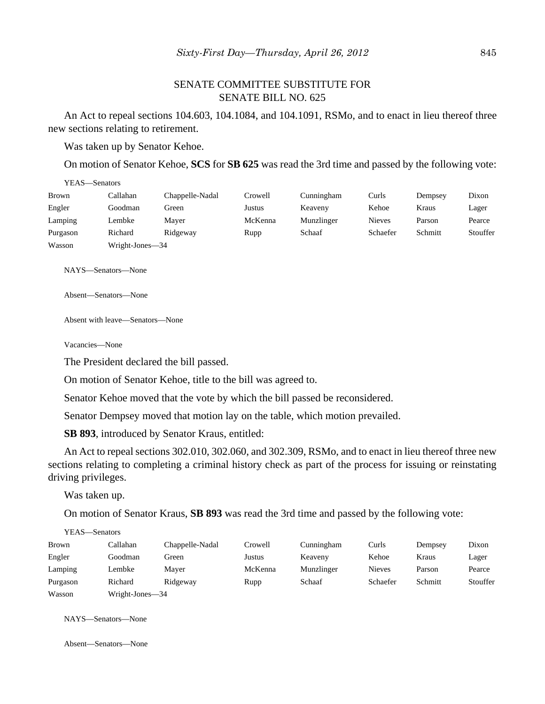## SENATE COMMITTEE SUBSTITUTE FOR SENATE BILL NO. 625

An Act to repeal sections 104.603, 104.1084, and 104.1091, RSMo, and to enact in lieu thereof three new sections relating to retirement.

Was taken up by Senator Kehoe.

On motion of Senator Kehoe, **SCS** for **SB 625** was read the 3rd time and passed by the following vote:

| YEAS—Senators |                 |                 |         |            |               |         |          |
|---------------|-----------------|-----------------|---------|------------|---------------|---------|----------|
| <b>Brown</b>  | Callahan        | Chappelle-Nadal | Crowell | Cunningham | Curls         | Dempsey | Dixon    |
| Engler        | Goodman         | Green           | Justus  | Keaveny    | Kehoe         | Kraus   | Lager    |
| Lamping       | Lembke          | Mayer           | McKenna | Munzlinger | <b>Nieves</b> | Parson  | Pearce   |
| Purgason      | Richard         | Ridgeway        | Rupp    | Schaaf     | Schaefer      | Schmitt | Stouffer |
| Wasson        | Wright-Jones-34 |                 |         |            |               |         |          |

NAYS—Senators—None

Absent—Senators—None

Absent with leave—Senators—None

Vacancies—None

The President declared the bill passed.

On motion of Senator Kehoe, title to the bill was agreed to.

Senator Kehoe moved that the vote by which the bill passed be reconsidered.

Senator Dempsey moved that motion lay on the table, which motion prevailed.

**SB 893**, introduced by Senator Kraus, entitled:

An Act to repeal sections 302.010, 302.060, and 302.309, RSMo, and to enact in lieu thereof three new sections relating to completing a criminal history check as part of the process for issuing or reinstating driving privileges.

Was taken up.

 $Y_{\text{H}}$  $\theta$  =  $\theta$ 

On motion of Senator Kraus, **SB 893** was read the 3rd time and passed by the following vote:

| YEAS—Senators |                 |                 |         |            |               |         |          |
|---------------|-----------------|-----------------|---------|------------|---------------|---------|----------|
| <b>Brown</b>  | Callahan        | Chappelle-Nadal | Crowell | Cunningham | Curls         | Dempsey | Dixon    |
| Engler        | Goodman         | Green           | Justus  | Keaveny    | Kehoe         | Kraus   | Lager    |
| Lamping       | Lembke          | Mayer           | McKenna | Munzlinger | <b>Nieves</b> | Parson  | Pearce   |
| Purgason      | Richard         | Ridgeway        | Rupp    | Schaaf     | Schaefer      | Schmitt | Stouffer |
| Wasson        | Wright-Jones-34 |                 |         |            |               |         |          |

NAYS—Senators—None

Absent—Senators—None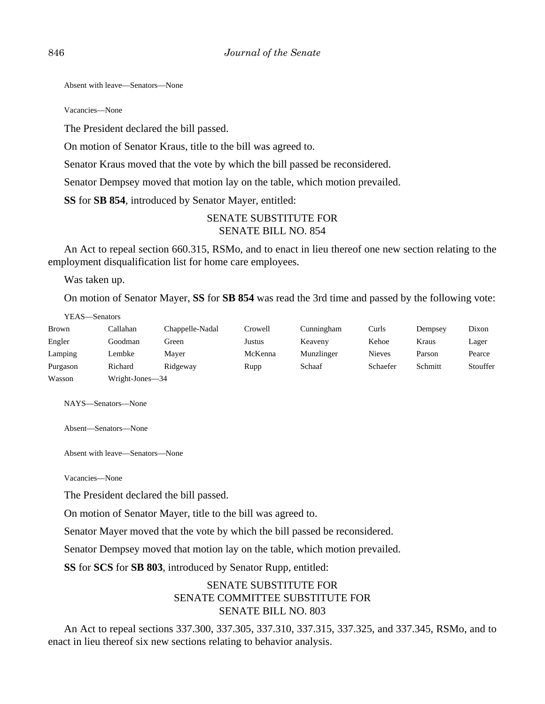Absent with leave—Senators—None

Vacancies—None

The President declared the bill passed.

On motion of Senator Kraus, title to the bill was agreed to.

Senator Kraus moved that the vote by which the bill passed be reconsidered.

Senator Dempsey moved that motion lay on the table, which motion prevailed.

**SS** for **SB 854**, introduced by Senator Mayer, entitled:

#### SENATE SUBSTITUTE FOR SENATE BILL NO. 854

An Act to repeal section 660.315, RSMo, and to enact in lieu thereof one new section relating to the employment disqualification list for home care employees.

Was taken up.

On motion of Senator Mayer, **SS** for **SB 854** was read the 3rd time and passed by the following vote:

YEAS—Senators

| <b>Brown</b> | Callahan        | Chappelle-Nadal | Crowell | Cunningham | Curls         | Dempsey | Dixon    |
|--------------|-----------------|-----------------|---------|------------|---------------|---------|----------|
| Engler       | Goodman         | Green           | Justus  | Keaveny    | Kehoe         | Kraus   | Lager    |
| Lamping      | Lembke          | Maver           | McKenna | Munzlinger | <b>Nieves</b> | Parson  | Pearce   |
| Purgason     | Richard         | Ridgeway        | Rupp    | Schaaf     | Schaefer      | Schmitt | Stouffer |
| Wasson       | Wright-Jones—34 |                 |         |            |               |         |          |

NAYS—Senators—None

Absent—Senators—None

Absent with leave—Senators—None

Vacancies—None

The President declared the bill passed.

On motion of Senator Mayer, title to the bill was agreed to.

Senator Mayer moved that the vote by which the bill passed be reconsidered.

Senator Dempsey moved that motion lay on the table, which motion prevailed.

**SS** for **SCS** for **SB 803**, introduced by Senator Rupp, entitled:

## SENATE SUBSTITUTE FOR SENATE COMMITTEE SUBSTITUTE FOR SENATE BILL NO. 803

An Act to repeal sections 337.300, 337.305, 337.310, 337.315, 337.325, and 337.345, RSMo, and to enact in lieu thereof six new sections relating to behavior analysis.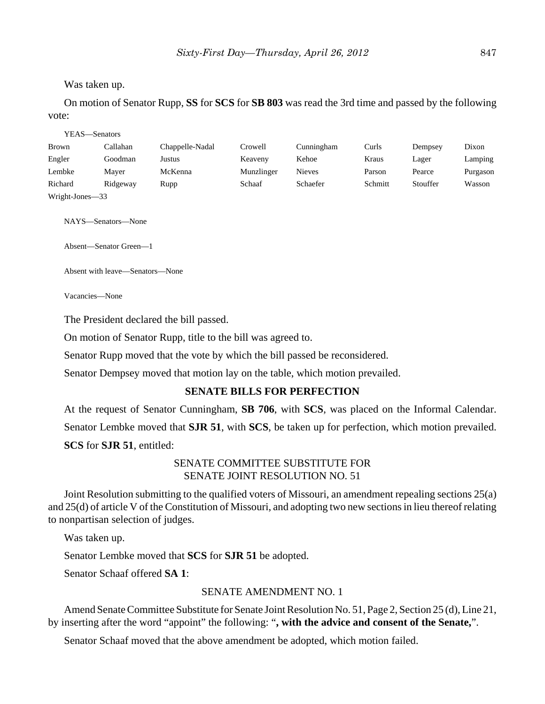#### Was taken up.

On motion of Senator Rupp, **SS** for **SCS** for **SB 803** was read the 3rd time and passed by the following vote:

YEAS—Senators

| <b>Brown</b>    | Callahan | Chappelle-Nadal | Crowell    | Cunningham    | Curls   | Dempsey  | Dixon    |
|-----------------|----------|-----------------|------------|---------------|---------|----------|----------|
| Engler          | Goodman  | Justus          | Keaveny    | Kehoe         | Kraus   | Lager    | Lamping  |
| Lembke          | Maver    | McKenna         | Munzlinger | <b>Nieves</b> | Parson  | Pearce   | Purgason |
| Richard         | Ridgeway | Rupp            | Schaaf     | Schaefer      | Schmitt | Stouffer | Wasson   |
| Wright-Jones-33 |          |                 |            |               |         |          |          |

NAYS—Senators—None

Absent—Senator Green—1

Absent with leave—Senators—None

Vacancies—None

The President declared the bill passed.

On motion of Senator Rupp, title to the bill was agreed to.

Senator Rupp moved that the vote by which the bill passed be reconsidered.

Senator Dempsey moved that motion lay on the table, which motion prevailed.

## **SENATE BILLS FOR PERFECTION**

At the request of Senator Cunningham, **SB 706**, with **SCS**, was placed on the Informal Calendar. Senator Lembke moved that **SJR 51**, with **SCS**, be taken up for perfection, which motion prevailed. **SCS** for **SJR 51**, entitled:

## SENATE COMMITTEE SUBSTITUTE FOR SENATE JOINT RESOLUTION NO. 51

Joint Resolution submitting to the qualified voters of Missouri, an amendment repealing sections 25(a) and 25(d) of article V of the Constitution of Missouri, and adopting two new sections in lieu thereof relating to nonpartisan selection of judges.

Was taken up.

Senator Lembke moved that **SCS** for **SJR 51** be adopted.

Senator Schaaf offered **SA 1**:

## SENATE AMENDMENT NO. 1

Amend Senate Committee Substitute for Senate Joint Resolution No. 51, Page 2, Section 25 (d), Line 21, by inserting after the word "appoint" the following: "**, with the advice and consent of the Senate,**".

Senator Schaaf moved that the above amendment be adopted, which motion failed.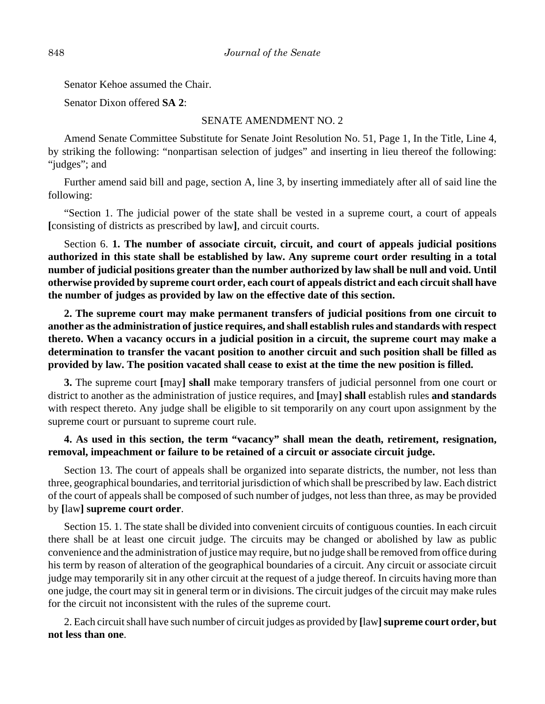Senator Kehoe assumed the Chair.

Senator Dixon offered **SA 2**:

#### SENATE AMENDMENT NO. 2

Amend Senate Committee Substitute for Senate Joint Resolution No. 51, Page 1, In the Title, Line 4, by striking the following: "nonpartisan selection of judges" and inserting in lieu thereof the following: "judges"; and

Further amend said bill and page, section A, line 3, by inserting immediately after all of said line the following:

"Section 1. The judicial power of the state shall be vested in a supreme court, a court of appeals **[**consisting of districts as prescribed by law**]**, and circuit courts.

Section 6. **1. The number of associate circuit, circuit, and court of appeals judicial positions authorized in this state shall be established by law. Any supreme court order resulting in a total number of judicial positions greater than the number authorized by law shall be null and void. Until otherwise provided by supreme court order, each court of appeals district and each circuit shall have the number of judges as provided by law on the effective date of this section.**

**2. The supreme court may make permanent transfers of judicial positions from one circuit to another as the administration of justice requires, and shall establish rules and standards with respect thereto. When a vacancy occurs in a judicial position in a circuit, the supreme court may make a determination to transfer the vacant position to another circuit and such position shall be filled as provided by law. The position vacated shall cease to exist at the time the new position is filled.**

**3.** The supreme court **[**may**] shall** make temporary transfers of judicial personnel from one court or district to another as the administration of justice requires, and **[**may**] shall** establish rules **and standards** with respect thereto. Any judge shall be eligible to sit temporarily on any court upon assignment by the supreme court or pursuant to supreme court rule.

## **4. As used in this section, the term "vacancy" shall mean the death, retirement, resignation, removal, impeachment or failure to be retained of a circuit or associate circuit judge.**

Section 13. The court of appeals shall be organized into separate districts, the number, not less than three, geographical boundaries, and territorial jurisdiction of which shall be prescribed by law. Each district of the court of appeals shall be composed of such number of judges, not less than three, as may be provided by **[**law**] supreme court order**.

Section 15. 1. The state shall be divided into convenient circuits of contiguous counties. In each circuit there shall be at least one circuit judge. The circuits may be changed or abolished by law as public convenience and the administration of justice may require, but no judge shall be removed from office during his term by reason of alteration of the geographical boundaries of a circuit. Any circuit or associate circuit judge may temporarily sit in any other circuit at the request of a judge thereof. In circuits having more than one judge, the court may sit in general term or in divisions. The circuit judges of the circuit may make rules for the circuit not inconsistent with the rules of the supreme court.

2. Each circuit shall have such number of circuit judges as provided by **[**law**] supreme court order, but not less than one**.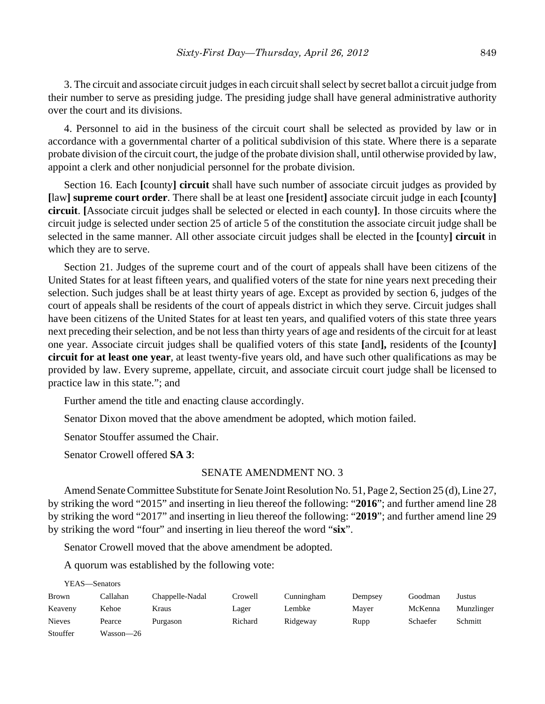3. The circuit and associate circuit judges in each circuit shall select by secret ballot a circuit judge from their number to serve as presiding judge. The presiding judge shall have general administrative authority over the court and its divisions.

4. Personnel to aid in the business of the circuit court shall be selected as provided by law or in accordance with a governmental charter of a political subdivision of this state. Where there is a separate probate division of the circuit court, the judge of the probate division shall, until otherwise provided by law, appoint a clerk and other nonjudicial personnel for the probate division.

Section 16. Each **[**county**] circuit** shall have such number of associate circuit judges as provided by **[**law**] supreme court order**. There shall be at least one **[**resident**]** associate circuit judge in each **[**county**] circuit**. **[**Associate circuit judges shall be selected or elected in each county**]**. In those circuits where the circuit judge is selected under section 25 of article 5 of the constitution the associate circuit judge shall be selected in the same manner. All other associate circuit judges shall be elected in the **[**county**] circuit** in which they are to serve.

Section 21. Judges of the supreme court and of the court of appeals shall have been citizens of the United States for at least fifteen years, and qualified voters of the state for nine years next preceding their selection. Such judges shall be at least thirty years of age. Except as provided by section 6, judges of the court of appeals shall be residents of the court of appeals district in which they serve. Circuit judges shall have been citizens of the United States for at least ten years, and qualified voters of this state three years next preceding their selection, and be not less than thirty years of age and residents of the circuit for at least one year. Associate circuit judges shall be qualified voters of this state **[**and**],** residents of the **[**county**] circuit for at least one year**, at least twenty-five years old, and have such other qualifications as may be provided by law. Every supreme, appellate, circuit, and associate circuit court judge shall be licensed to practice law in this state."; and

Further amend the title and enacting clause accordingly.

Senator Dixon moved that the above amendment be adopted, which motion failed.

Senator Stouffer assumed the Chair.

Senator Crowell offered **SA 3**:

YEAS—Senators

#### SENATE AMENDMENT NO. 3

Amend Senate Committee Substitute for Senate Joint Resolution No. 51, Page 2, Section 25 (d), Line 27, by striking the word "2015" and inserting in lieu thereof the following: "**2016**"; and further amend line 28 by striking the word "2017" and inserting in lieu thereof the following: "**2019**"; and further amend line 29 by striking the word "four" and inserting in lieu thereof the word "**six**".

Senator Crowell moved that the above amendment be adopted.

A quorum was established by the following vote:

| і е дэ—эспаші s |           |                 |         |            |         |          |            |
|-----------------|-----------|-----------------|---------|------------|---------|----------|------------|
| <b>Brown</b>    | Callahan  | Chappelle-Nadal | Crowell | Cunningham | Dempsey | Goodman  | Justus     |
| Keaveny         | Kehoe     | Kraus           | Lager   | Lembke     | Mayer   | McKenna  | Munzlinger |
| <b>Nieves</b>   | Pearce    | Purgason        | Richard | Ridgeway   | Rupp    | Schaefer | Schmitt    |
| Stouffer        | Wasson-26 |                 |         |            |         |          |            |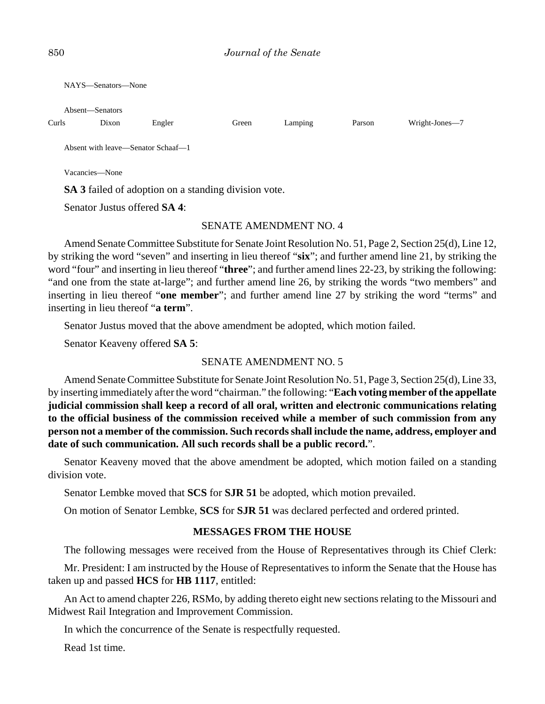NAYS—Senators—None

Absent—Senators

| Curls                                                       | Dixon          | Engler | Green | Lamping | Parson | Wright-Jones—7 |  |  |  |  |
|-------------------------------------------------------------|----------------|--------|-------|---------|--------|----------------|--|--|--|--|
| Absent with leave—Senator Schaaf—1                          |                |        |       |         |        |                |  |  |  |  |
|                                                             | Vacancies—None |        |       |         |        |                |  |  |  |  |
| <b>SA 3</b> failed of adoption on a standing division vote. |                |        |       |         |        |                |  |  |  |  |
| Senator Justus offered <b>SA 4</b> :                        |                |        |       |         |        |                |  |  |  |  |

#### SENATE AMENDMENT NO. 4

Amend Senate Committee Substitute for Senate Joint Resolution No. 51, Page 2, Section 25(d), Line 12, by striking the word "seven" and inserting in lieu thereof "**six**"; and further amend line 21, by striking the word "four" and inserting in lieu thereof "**three**"; and further amend lines 22-23, by striking the following: "and one from the state at-large"; and further amend line 26, by striking the words "two members" and inserting in lieu thereof "**one member**"; and further amend line 27 by striking the word "terms" and inserting in lieu thereof "**a term**".

Senator Justus moved that the above amendment be adopted, which motion failed.

Senator Keaveny offered **SA 5**:

#### SENATE AMENDMENT NO. 5

Amend Senate Committee Substitute for Senate Joint Resolution No. 51, Page 3, Section 25(d), Line 33, by inserting immediately after the word "chairman." the following: "**Each voting member of the appellate judicial commission shall keep a record of all oral, written and electronic communications relating to the official business of the commission received while a member of such commission from any person not a member of the commission. Such records shall include the name, address, employer and date of such communication. All such records shall be a public record.**".

Senator Keaveny moved that the above amendment be adopted, which motion failed on a standing division vote.

Senator Lembke moved that **SCS** for **SJR 51** be adopted, which motion prevailed.

On motion of Senator Lembke, **SCS** for **SJR 51** was declared perfected and ordered printed.

#### **MESSAGES FROM THE HOUSE**

The following messages were received from the House of Representatives through its Chief Clerk:

Mr. President: I am instructed by the House of Representatives to inform the Senate that the House has taken up and passed **HCS** for **HB 1117**, entitled:

An Act to amend chapter 226, RSMo, by adding thereto eight new sections relating to the Missouri and Midwest Rail Integration and Improvement Commission.

In which the concurrence of the Senate is respectfully requested.

Read 1st time.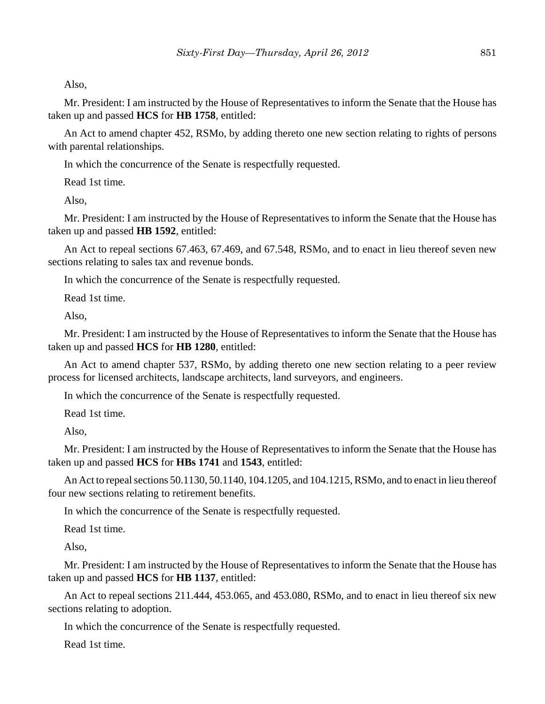Also,

Mr. President: I am instructed by the House of Representatives to inform the Senate that the House has taken up and passed **HCS** for **HB 1758**, entitled:

An Act to amend chapter 452, RSMo, by adding thereto one new section relating to rights of persons with parental relationships.

In which the concurrence of the Senate is respectfully requested.

Read 1st time.

Also,

Mr. President: I am instructed by the House of Representatives to inform the Senate that the House has taken up and passed **HB 1592**, entitled:

An Act to repeal sections 67.463, 67.469, and 67.548, RSMo, and to enact in lieu thereof seven new sections relating to sales tax and revenue bonds.

In which the concurrence of the Senate is respectfully requested.

Read 1st time.

Also,

Mr. President: I am instructed by the House of Representatives to inform the Senate that the House has taken up and passed **HCS** for **HB 1280**, entitled:

An Act to amend chapter 537, RSMo, by adding thereto one new section relating to a peer review process for licensed architects, landscape architects, land surveyors, and engineers.

In which the concurrence of the Senate is respectfully requested.

Read 1st time.

Also,

Mr. President: I am instructed by the House of Representatives to inform the Senate that the House has taken up and passed **HCS** for **HBs 1741** and **1543**, entitled:

An Act to repeal sections 50.1130, 50.1140, 104.1205, and 104.1215, RSMo, and to enact in lieu thereof four new sections relating to retirement benefits.

In which the concurrence of the Senate is respectfully requested.

Read 1st time.

Also,

Mr. President: I am instructed by the House of Representatives to inform the Senate that the House has taken up and passed **HCS** for **HB 1137**, entitled:

An Act to repeal sections 211.444, 453.065, and 453.080, RSMo, and to enact in lieu thereof six new sections relating to adoption.

In which the concurrence of the Senate is respectfully requested.

Read 1st time.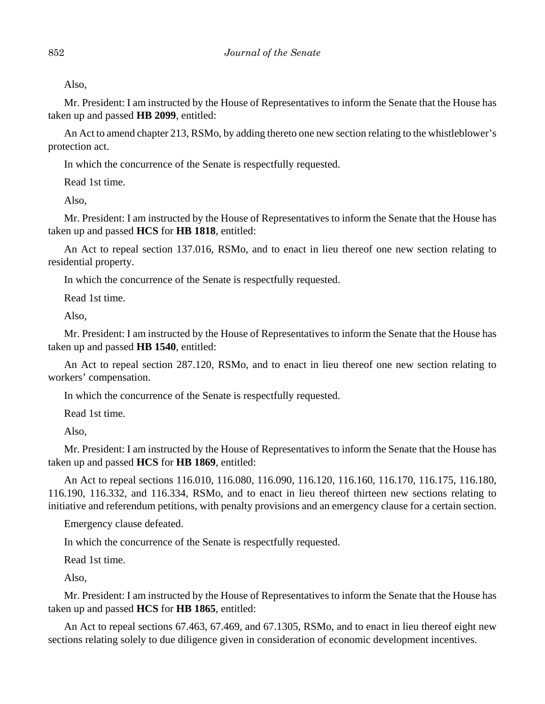Also,

Mr. President: I am instructed by the House of Representatives to inform the Senate that the House has taken up and passed **HB 2099**, entitled:

An Act to amend chapter 213, RSMo, by adding thereto one new section relating to the whistleblower's protection act.

In which the concurrence of the Senate is respectfully requested.

Read 1st time.

Also,

Mr. President: I am instructed by the House of Representatives to inform the Senate that the House has taken up and passed **HCS** for **HB 1818**, entitled:

An Act to repeal section 137.016, RSMo, and to enact in lieu thereof one new section relating to residential property.

In which the concurrence of the Senate is respectfully requested.

Read 1st time.

Also,

Mr. President: I am instructed by the House of Representatives to inform the Senate that the House has taken up and passed **HB 1540**, entitled:

An Act to repeal section 287.120, RSMo, and to enact in lieu thereof one new section relating to workers' compensation.

In which the concurrence of the Senate is respectfully requested.

Read 1st time.

Also,

Mr. President: I am instructed by the House of Representatives to inform the Senate that the House has taken up and passed **HCS** for **HB 1869**, entitled:

An Act to repeal sections 116.010, 116.080, 116.090, 116.120, 116.160, 116.170, 116.175, 116.180, 116.190, 116.332, and 116.334, RSMo, and to enact in lieu thereof thirteen new sections relating to initiative and referendum petitions, with penalty provisions and an emergency clause for a certain section.

Emergency clause defeated.

In which the concurrence of the Senate is respectfully requested.

Read 1st time.

Also,

Mr. President: I am instructed by the House of Representatives to inform the Senate that the House has taken up and passed **HCS** for **HB 1865**, entitled:

An Act to repeal sections 67.463, 67.469, and 67.1305, RSMo, and to enact in lieu thereof eight new sections relating solely to due diligence given in consideration of economic development incentives.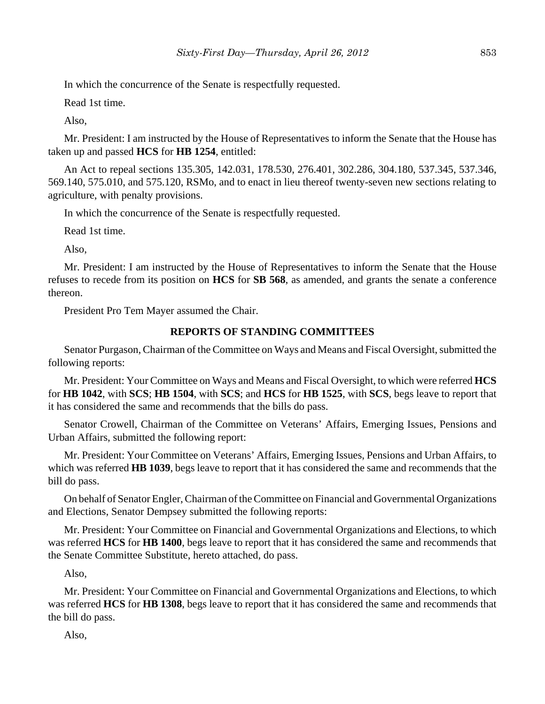In which the concurrence of the Senate is respectfully requested.

Read 1st time.

Also,

Mr. President: I am instructed by the House of Representatives to inform the Senate that the House has taken up and passed **HCS** for **HB 1254**, entitled:

An Act to repeal sections 135.305, 142.031, 178.530, 276.401, 302.286, 304.180, 537.345, 537.346, 569.140, 575.010, and 575.120, RSMo, and to enact in lieu thereof twenty-seven new sections relating to agriculture, with penalty provisions.

In which the concurrence of the Senate is respectfully requested.

Read 1st time.

Also,

Mr. President: I am instructed by the House of Representatives to inform the Senate that the House refuses to recede from its position on **HCS** for **SB 568**, as amended, and grants the senate a conference thereon.

President Pro Tem Mayer assumed the Chair.

#### **REPORTS OF STANDING COMMITTEES**

Senator Purgason, Chairman of the Committee on Ways and Means and Fiscal Oversight, submitted the following reports:

Mr. President: Your Committee on Ways and Means and Fiscal Oversight, to which were referred **HCS** for **HB 1042**, with **SCS**; **HB 1504**, with **SCS**; and **HCS** for **HB 1525**, with **SCS**, begs leave to report that it has considered the same and recommends that the bills do pass.

Senator Crowell, Chairman of the Committee on Veterans' Affairs, Emerging Issues, Pensions and Urban Affairs, submitted the following report:

Mr. President: Your Committee on Veterans' Affairs, Emerging Issues, Pensions and Urban Affairs, to which was referred **HB 1039**, begs leave to report that it has considered the same and recommends that the bill do pass.

On behalf of Senator Engler, Chairman of the Committee on Financial and Governmental Organizations and Elections, Senator Dempsey submitted the following reports:

Mr. President: Your Committee on Financial and Governmental Organizations and Elections, to which was referred **HCS** for **HB 1400**, begs leave to report that it has considered the same and recommends that the Senate Committee Substitute, hereto attached, do pass.

Also,

Mr. President: Your Committee on Financial and Governmental Organizations and Elections, to which was referred **HCS** for **HB 1308**, begs leave to report that it has considered the same and recommends that the bill do pass.

Also,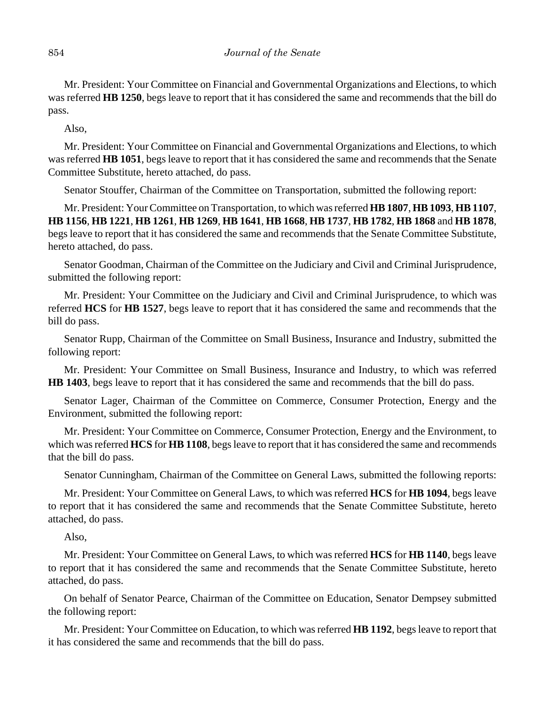Mr. President: Your Committee on Financial and Governmental Organizations and Elections, to which was referred **HB 1250**, begs leave to report that it has considered the same and recommends that the bill do pass.

Also,

Mr. President: Your Committee on Financial and Governmental Organizations and Elections, to which was referred **HB 1051**, begs leave to report that it has considered the same and recommends that the Senate Committee Substitute, hereto attached, do pass.

Senator Stouffer, Chairman of the Committee on Transportation, submitted the following report:

Mr. President: Your Committee on Transportation, to which was referred **HB 1807**, **HB 1093**, **HB 1107**, **HB 1156**, **HB 1221**, **HB 1261**, **HB 1269**, **HB 1641**, **HB 1668**, **HB 1737**, **HB 1782**, **HB 1868** and **HB 1878**, begs leave to report that it has considered the same and recommends that the Senate Committee Substitute, hereto attached, do pass.

Senator Goodman, Chairman of the Committee on the Judiciary and Civil and Criminal Jurisprudence, submitted the following report:

Mr. President: Your Committee on the Judiciary and Civil and Criminal Jurisprudence, to which was referred **HCS** for **HB 1527**, begs leave to report that it has considered the same and recommends that the bill do pass.

Senator Rupp, Chairman of the Committee on Small Business, Insurance and Industry, submitted the following report:

Mr. President: Your Committee on Small Business, Insurance and Industry, to which was referred **HB 1403**, begs leave to report that it has considered the same and recommends that the bill do pass.

Senator Lager, Chairman of the Committee on Commerce, Consumer Protection, Energy and the Environment, submitted the following report:

Mr. President: Your Committee on Commerce, Consumer Protection, Energy and the Environment, to which was referred **HCS** for **HB 1108**, begs leave to report that it has considered the same and recommends that the bill do pass.

Senator Cunningham, Chairman of the Committee on General Laws, submitted the following reports:

Mr. President: Your Committee on General Laws, to which was referred **HCS** for **HB 1094**, begs leave to report that it has considered the same and recommends that the Senate Committee Substitute, hereto attached, do pass.

Also,

Mr. President: Your Committee on General Laws, to which was referred **HCS** for **HB 1140**, begs leave to report that it has considered the same and recommends that the Senate Committee Substitute, hereto attached, do pass.

On behalf of Senator Pearce, Chairman of the Committee on Education, Senator Dempsey submitted the following report:

Mr. President: Your Committee on Education, to which was referred **HB 1192**, begs leave to report that it has considered the same and recommends that the bill do pass.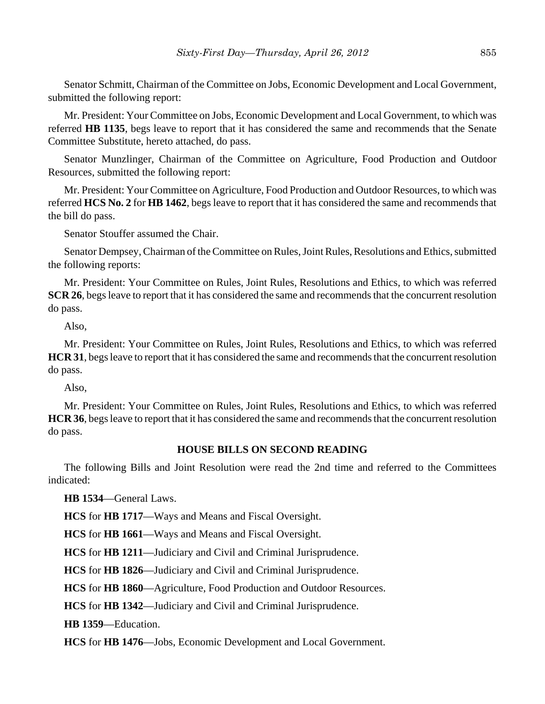Senator Schmitt, Chairman of the Committee on Jobs, Economic Development and Local Government, submitted the following report:

Mr. President: Your Committee on Jobs, Economic Development and Local Government, to which was referred **HB 1135**, begs leave to report that it has considered the same and recommends that the Senate Committee Substitute, hereto attached, do pass.

Senator Munzlinger, Chairman of the Committee on Agriculture, Food Production and Outdoor Resources, submitted the following report:

Mr. President: Your Committee on Agriculture, Food Production and Outdoor Resources, to which was referred **HCS No. 2** for **HB 1462**, begs leave to report that it has considered the same and recommends that the bill do pass.

Senator Stouffer assumed the Chair.

Senator Dempsey, Chairman of the Committee on Rules, Joint Rules, Resolutions and Ethics, submitted the following reports:

Mr. President: Your Committee on Rules, Joint Rules, Resolutions and Ethics, to which was referred **SCR 26**, begs leave to report that it has considered the same and recommends that the concurrent resolution do pass.

Also,

Mr. President: Your Committee on Rules, Joint Rules, Resolutions and Ethics, to which was referred **HCR 31**, begs leave to report that it has considered the same and recommends that the concurrent resolution do pass.

Also,

Mr. President: Your Committee on Rules, Joint Rules, Resolutions and Ethics, to which was referred **HCR 36**, begs leave to report that it has considered the same and recommends that the concurrent resolution do pass.

## **HOUSE BILLS ON SECOND READING**

The following Bills and Joint Resolution were read the 2nd time and referred to the Committees indicated:

**HB 1534**—General Laws.

**HCS** for **HB 1717**—Ways and Means and Fiscal Oversight.

**HCS** for **HB 1661**—Ways and Means and Fiscal Oversight.

**HCS** for **HB 1211**—Judiciary and Civil and Criminal Jurisprudence.

**HCS** for **HB 1826**—Judiciary and Civil and Criminal Jurisprudence.

**HCS** for **HB 1860**—Agriculture, Food Production and Outdoor Resources.

**HCS** for **HB 1342**—Judiciary and Civil and Criminal Jurisprudence.

**HB 1359**—Education.

**HCS** for **HB 1476**—Jobs, Economic Development and Local Government.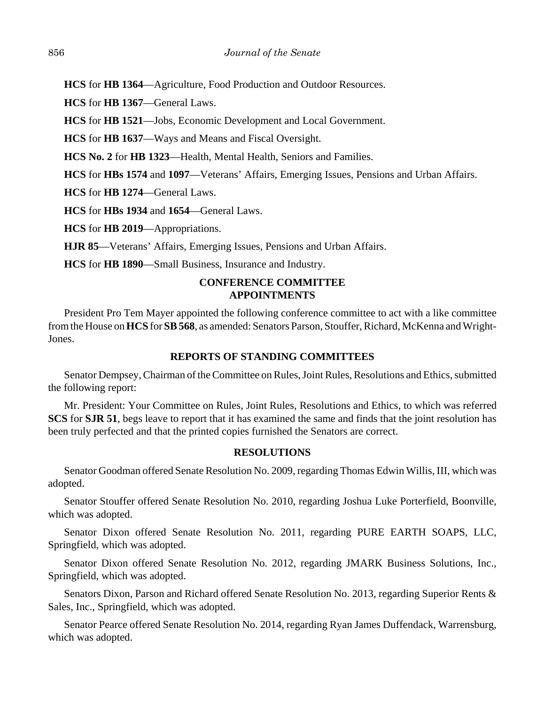**HCS** for **HB 1364**—Agriculture, Food Production and Outdoor Resources.

**HCS** for **HB 1367**—General Laws.

**HCS** for **HB 1521**—Jobs, Economic Development and Local Government.

**HCS** for **HB 1637**—Ways and Means and Fiscal Oversight.

**HCS No. 2** for **HB 1323**—Health, Mental Health, Seniors and Families.

**HCS** for **HBs 1574** and **1097**—Veterans' Affairs, Emerging Issues, Pensions and Urban Affairs.

**HCS** for **HB 1274**—General Laws.

**HCS** for **HBs 1934** and **1654**—General Laws.

**HCS** for **HB 2019**—Appropriations.

**HJR 85**—Veterans' Affairs, Emerging Issues, Pensions and Urban Affairs.

**HCS** for **HB 1890**—Small Business, Insurance and Industry.

## **CONFERENCE COMMITTEE APPOINTMENTS**

President Pro Tem Mayer appointed the following conference committee to act with a like committee from the House on **HCS** for **SB 568**, as amended: Senators Parson, Stouffer, Richard, McKenna and Wright-Jones.

## **REPORTS OF STANDING COMMITTEES**

Senator Dempsey, Chairman of the Committee on Rules, Joint Rules, Resolutions and Ethics, submitted the following report:

Mr. President: Your Committee on Rules, Joint Rules, Resolutions and Ethics, to which was referred **SCS** for **SJR 51**, begs leave to report that it has examined the same and finds that the joint resolution has been truly perfected and that the printed copies furnished the Senators are correct.

## **RESOLUTIONS**

Senator Goodman offered Senate Resolution No. 2009, regarding Thomas Edwin Willis, III, which was adopted.

Senator Stouffer offered Senate Resolution No. 2010, regarding Joshua Luke Porterfield, Boonville, which was adopted.

Senator Dixon offered Senate Resolution No. 2011, regarding PURE EARTH SOAPS, LLC, Springfield, which was adopted.

Senator Dixon offered Senate Resolution No. 2012, regarding JMARK Business Solutions, Inc., Springfield, which was adopted.

Senators Dixon, Parson and Richard offered Senate Resolution No. 2013, regarding Superior Rents & Sales, Inc., Springfield, which was adopted.

Senator Pearce offered Senate Resolution No. 2014, regarding Ryan James Duffendack, Warrensburg, which was adopted.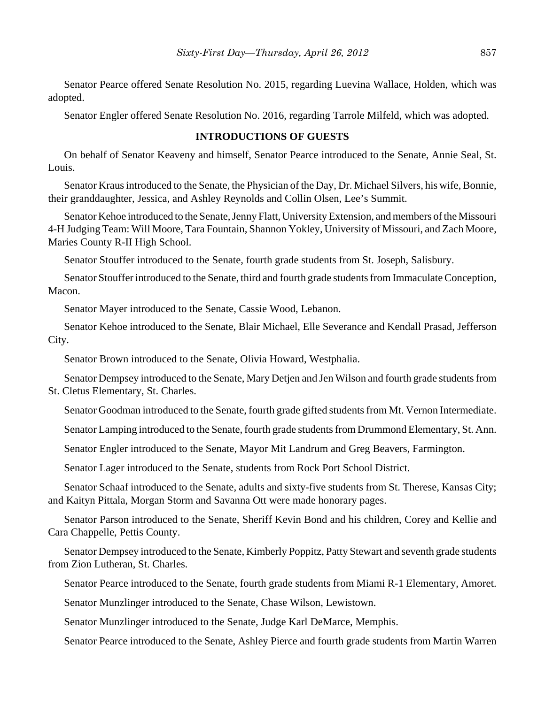Senator Pearce offered Senate Resolution No. 2015, regarding Luevina Wallace, Holden, which was adopted.

Senator Engler offered Senate Resolution No. 2016, regarding Tarrole Milfeld, which was adopted.

#### **INTRODUCTIONS OF GUESTS**

On behalf of Senator Keaveny and himself, Senator Pearce introduced to the Senate, Annie Seal, St. Louis.

Senator Kraus introduced to the Senate, the Physician of the Day, Dr. Michael Silvers, his wife, Bonnie, their granddaughter, Jessica, and Ashley Reynolds and Collin Olsen, Lee's Summit.

Senator Kehoe introduced to the Senate, Jenny Flatt, University Extension, and members of the Missouri 4-H Judging Team: Will Moore, Tara Fountain, Shannon Yokley, University of Missouri, and Zach Moore, Maries County R-II High School.

Senator Stouffer introduced to the Senate, fourth grade students from St. Joseph, Salisbury.

Senator Stouffer introduced to the Senate, third and fourth grade students from Immaculate Conception, Macon.

Senator Mayer introduced to the Senate, Cassie Wood, Lebanon.

Senator Kehoe introduced to the Senate, Blair Michael, Elle Severance and Kendall Prasad, Jefferson City.

Senator Brown introduced to the Senate, Olivia Howard, Westphalia.

Senator Dempsey introduced to the Senate, Mary Detjen and Jen Wilson and fourth grade students from St. Cletus Elementary, St. Charles.

Senator Goodman introduced to the Senate, fourth grade gifted students from Mt. Vernon Intermediate.

Senator Lamping introduced to the Senate, fourth grade students from Drummond Elementary, St. Ann.

Senator Engler introduced to the Senate, Mayor Mit Landrum and Greg Beavers, Farmington.

Senator Lager introduced to the Senate, students from Rock Port School District.

Senator Schaaf introduced to the Senate, adults and sixty-five students from St. Therese, Kansas City; and Kaityn Pittala, Morgan Storm and Savanna Ott were made honorary pages.

Senator Parson introduced to the Senate, Sheriff Kevin Bond and his children, Corey and Kellie and Cara Chappelle, Pettis County.

Senator Dempsey introduced to the Senate, Kimberly Poppitz, Patty Stewart and seventh grade students from Zion Lutheran, St. Charles.

Senator Pearce introduced to the Senate, fourth grade students from Miami R-1 Elementary, Amoret.

Senator Munzlinger introduced to the Senate, Chase Wilson, Lewistown.

Senator Munzlinger introduced to the Senate, Judge Karl DeMarce, Memphis.

Senator Pearce introduced to the Senate, Ashley Pierce and fourth grade students from Martin Warren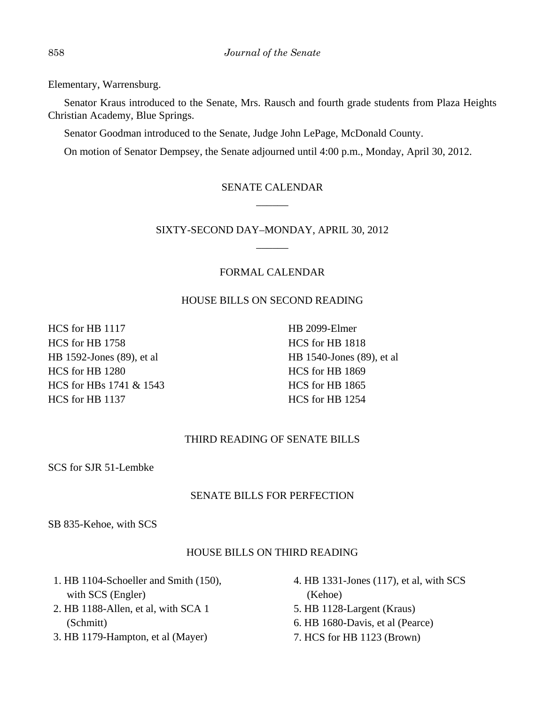Elementary, Warrensburg.

Senator Kraus introduced to the Senate, Mrs. Rausch and fourth grade students from Plaza Heights Christian Academy, Blue Springs.

Senator Goodman introduced to the Senate, Judge John LePage, McDonald County.

On motion of Senator Dempsey, the Senate adjourned until 4:00 p.m., Monday, April 30, 2012.

## SENATE CALENDAR \_\_\_\_\_\_

## SIXTY-SECOND DAY–MONDAY, APRIL 30, 2012 \_\_\_\_\_\_

## FORMAL CALENDAR

## HOUSE BILLS ON SECOND READING

HCS for HB 1117 HCS for HB 1758 HB 1592-Jones (89), et al HCS for HB 1280 HCS for HBs 1741 & 1543 HCS for HB 1137

HB 2099-Elmer HCS for HB 1818 HB 1540-Jones (89), et al HCS for HB 1869 HCS for HB 1865 HCS for HB 1254

## THIRD READING OF SENATE BILLS

SCS for SJR 51-Lembke

## SENATE BILLS FOR PERFECTION

SB 835-Kehoe, with SCS

## HOUSE BILLS ON THIRD READING

- 1. HB 1104-Schoeller and Smith (150), with SCS (Engler)
- 2. HB 1188-Allen, et al, with SCA 1 (Schmitt)
- 3. HB 1179-Hampton, et al (Mayer)
- 4. HB 1331-Jones (117), et al, with SCS (Kehoe)
- 5. HB 1128-Largent (Kraus)
- 6. HB 1680-Davis, et al (Pearce)
- 7. HCS for HB 1123 (Brown)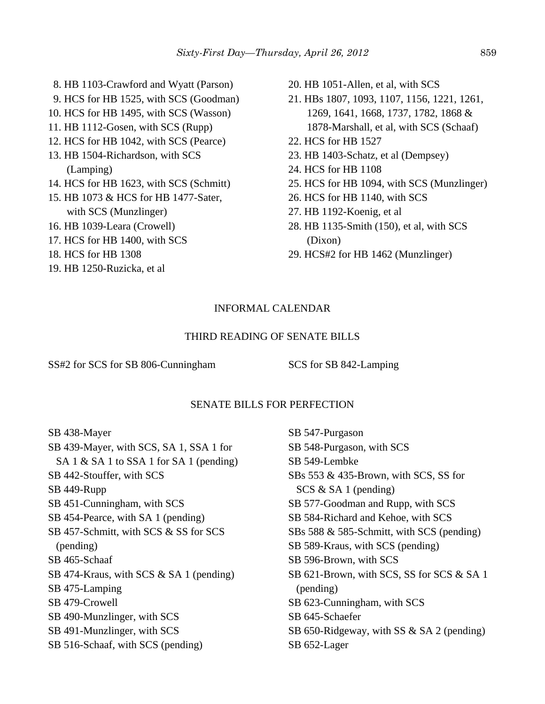- 8. HB 1103-Crawford and Wyatt (Parson)
- 9. HCS for HB 1525, with SCS (Goodman)
- 10. HCS for HB 1495, with SCS (Wasson)
- 11. HB 1112-Gosen, with SCS (Rupp)
- 12. HCS for HB 1042, with SCS (Pearce)
- 13. HB 1504-Richardson, with SCS (Lamping)
- 14. HCS for HB 1623, with SCS (Schmitt)
- 15. HB 1073 & HCS for HB 1477-Sater, with SCS (Munzlinger)
- 16. HB 1039-Leara (Crowell)
- 17. HCS for HB 1400, with SCS
- 18. HCS for HB 1308
- 19. HB 1250-Ruzicka, et al
- 20. HB 1051-Allen, et al, with SCS
- 21. HBs 1807, 1093, 1107, 1156, 1221, 1261, 1269, 1641, 1668, 1737, 1782, 1868 & 1878-Marshall, et al, with SCS (Schaaf)
- 22. HCS for HB 1527
- 23. HB 1403-Schatz, et al (Dempsey)
- 24. HCS for HB 1108
- 25. HCS for HB 1094, with SCS (Munzlinger)
- 26. HCS for HB 1140, with SCS
- 27. HB 1192-Koenig, et al
- 28. HB 1135-Smith (150), et al, with SCS (Dixon)
- 29. HCS#2 for HB 1462 (Munzlinger)

#### INFORMAL CALENDAR

#### THIRD READING OF SENATE BILLS

SS#2 for SCS for SB 806-Cunningham SCS for SB 842-Lamping

#### SENATE BILLS FOR PERFECTION

SB 438-Mayer SB 439-Mayer, with SCS, SA 1, SSA 1 for SA 1 & SA 1 to SSA 1 for SA 1 (pending) SB 442-Stouffer, with SCS SB 449-Rupp SB 451-Cunningham, with SCS SB 454-Pearce, with SA 1 (pending) SB 457-Schmitt, with SCS & SS for SCS (pending) SB 465-Schaaf SB 474-Kraus, with SCS & SA 1 (pending) SB 475-Lamping SB 479-Crowell SB 490-Munzlinger, with SCS SB 491-Munzlinger, with SCS SB 516-Schaaf, with SCS (pending)

SB 547-Purgason SB 548-Purgason, with SCS SB 549-Lembke SBs 553 & 435-Brown, with SCS, SS for SCS & SA 1 (pending) SB 577-Goodman and Rupp, with SCS SB 584-Richard and Kehoe, with SCS SBs 588 & 585-Schmitt, with SCS (pending) SB 589-Kraus, with SCS (pending) SB 596-Brown, with SCS SB 621-Brown, with SCS, SS for SCS & SA 1 (pending) SB 623-Cunningham, with SCS SB 645-Schaefer SB 650-Ridgeway, with SS & SA 2 (pending) SB 652-Lager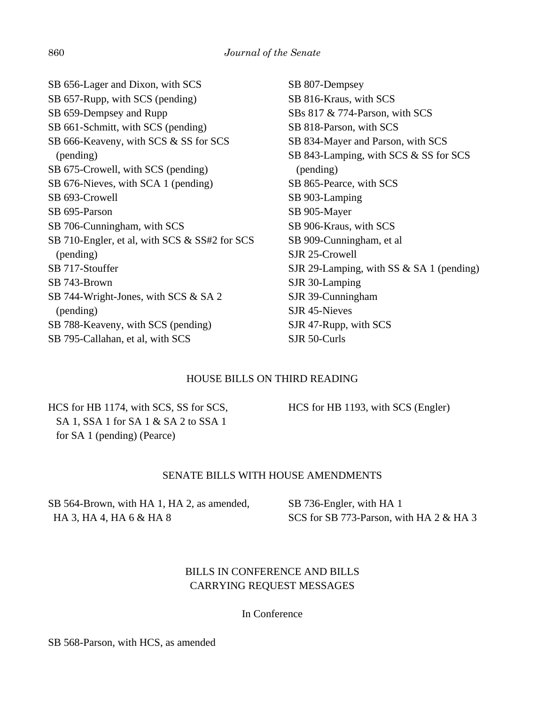| SB 656-Lager and Dixon, with SCS              | SB 807-Dempsey                           |
|-----------------------------------------------|------------------------------------------|
| SB 657-Rupp, with SCS (pending)               | SB 816-Kraus, with SCS                   |
| SB 659-Dempsey and Rupp                       | SBs $817 \& 774$ -Parson, with SCS       |
| SB 661-Schmitt, with SCS (pending)            | SB 818-Parson, with SCS                  |
| SB 666-Keaveny, with SCS & SS for SCS         | SB 834-Mayer and Parson, with SCS        |
| (pending)                                     | SB 843-Lamping, with SCS & SS for SCS    |
| SB 675-Crowell, with SCS (pending)            | (pending)                                |
| SB 676-Nieves, with SCA 1 (pending)           | SB 865-Pearce, with SCS                  |
| SB 693-Crowell                                | SB 903-Lamping                           |
| SB 695-Parson                                 | SB 905-Mayer                             |
| SB 706-Cunningham, with SCS                   | SB 906-Kraus, with SCS                   |
| SB 710-Engler, et al, with SCS & SS#2 for SCS | SB 909-Cunningham, et al                 |
| (pending)                                     | SJR 25-Crowell                           |
| SB 717-Stouffer                               | SJR 29-Lamping, with SS & SA 1 (pending) |
| SB 743-Brown                                  | SJR 30-Lamping                           |
| SB 744-Wright-Jones, with SCS $&$ SA 2        | SJR 39-Cunningham                        |
| (pending)                                     | SJR 45-Nieves                            |
| SB 788-Keaveny, with SCS (pending)            | SJR 47-Rupp, with SCS                    |
| SB 795-Callahan, et al, with SCS              | SJR 50-Curls                             |
|                                               |                                          |

## HOUSE BILLS ON THIRD READING

HCS for HB 1174, with SCS, SS for SCS, SA 1, SSA 1 for SA 1 & SA 2 to SSA 1 for SA 1 (pending) (Pearce)

HCS for HB 1193, with SCS (Engler)

#### SENATE BILLS WITH HOUSE AMENDMENTS

SB 564-Brown, with HA 1, HA 2, as amended, HA 3, HA 4, HA 6 & HA 8

SB 736-Engler, with HA 1 SCS for SB 773-Parson, with HA 2 & HA 3

## BILLS IN CONFERENCE AND BILLS CARRYING REQUEST MESSAGES

In Conference

SB 568-Parson, with HCS, as amended